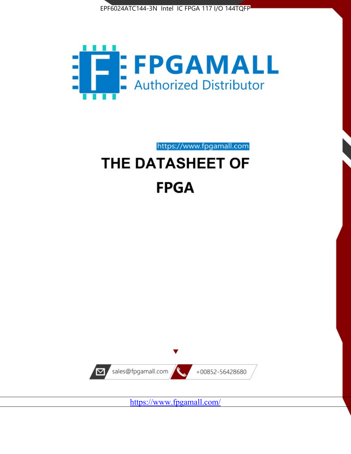



https://www.fpgamall.com

# THE DATASHEET OF **FPGA**



<https://www.fpgamall.com/>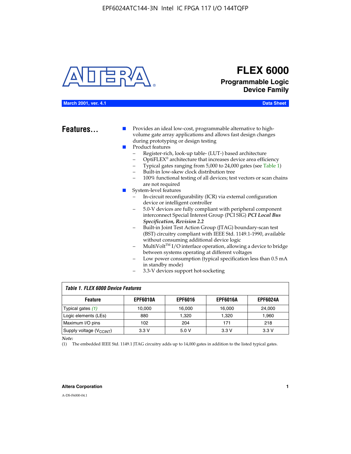

# **FLEX 6000 Programmable Logic Device Family**

#### **March 2001, ver. 4.1 Data Sheet**

**Features...** ■ Provides an ideal low-cost, programmable alternative to highvolume gate array applications and allows fast design changes during prototyping or design testing

- Product features
	- Register-rich, look-up table- (LUT-) based architecture
		- OptiFLEX® architecture that increases device area efficiency
	- Typical gates ranging from 5,000 to 24,000 gates (see Table 1)
	- Built-in low-skew clock distribution tree
	- 100% functional testing of all devices; test vectors or scan chains are not required
- System-level features
	- In-circuit reconfigurability (ICR) via external configuration device or intelligent controller
	- 5.0-V devices are fully compliant with peripheral component interconnect Special Interest Group (PCI SIG) *PCI Local Bus Specification, Revision 2.2*
	- Built-in Joint Test Action Group (JTAG) boundary-scan test (BST) circuitry compliant with IEEE Std. 1149.1-1990, available without consuming additional device logic
	- MultiVolt™ I/O interface operation, allowing a device to bridge between systems operating at different voltages
	- Low power consumption (typical specification less than 0.5 mA in standby mode)
	- 3.3-V devices support hot-socketing

| <b>Table 1. FLEX 6000 Device Features</b> |                 |                |                 |                 |  |  |  |
|-------------------------------------------|-----------------|----------------|-----------------|-----------------|--|--|--|
| <b>Feature</b>                            | <b>EPF6010A</b> | <b>EPF6016</b> | <b>EPF6016A</b> | <b>EPF6024A</b> |  |  |  |
| Typical gates (1)                         | 10,000          | 16,000         | 16,000          | 24,000          |  |  |  |
| Logic elements (LEs)                      | 880             | 1,320          | 1,320           | 1,960           |  |  |  |
| Maximum I/O pins                          | 102             | 204            | 171             | 218             |  |  |  |
| Supply voltage $(V_{C C INT})$            | 3.3V            | 5.0V           | 3.3 V           | 3.3 V           |  |  |  |

*Note:*

(1) The embedded IEEE Std. 1149.1 JTAG circuitry adds up to 14,000 gates in addition to the listed typical gates.

#### **Altera Corporation 1**

A-DS-F6000-04.1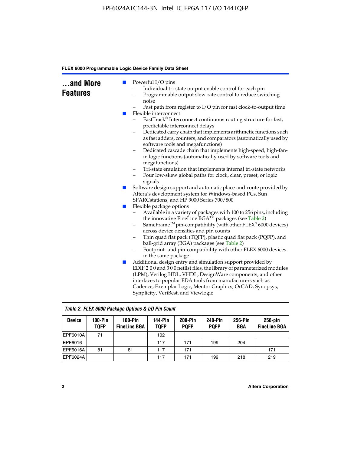| and More<br><b>Features</b> | <b>COL</b><br><b>CONTRACTOR</b> | Powerful I/O pins<br>Individual tri-state output enable control for each pin<br>Programmable output slew-rate control to reduce switching<br>noise<br>Fast path from register to I/O pin for fast clock-to-output time<br>Flexible interconnect<br>FastTrack® Interconnect continuous routing structure for fast,<br>predictable interconnect delays<br>Dedicated carry chain that implements arithmetic functions such<br>as fast adders, counters, and comparators (automatically used by<br>software tools and megafunctions)<br>Dedicated cascade chain that implements high-speed, high-fan-<br>-<br>in logic functions (automatically used by software tools and |
|-----------------------------|---------------------------------|------------------------------------------------------------------------------------------------------------------------------------------------------------------------------------------------------------------------------------------------------------------------------------------------------------------------------------------------------------------------------------------------------------------------------------------------------------------------------------------------------------------------------------------------------------------------------------------------------------------------------------------------------------------------|
|                             |                                 | megafunctions)<br>Tri-state emulation that implements internal tri-state networks<br>-<br>Four low-skew global paths for clock, clear, preset, or logic<br>-<br>signals                                                                                                                                                                                                                                                                                                                                                                                                                                                                                                |
|                             | $\mathbb{R}^n$                  | Software design support and automatic place-and-route provided by<br>Altera's development system for Windows-based PCs, Sun<br>SPARCstations, and HP 9000 Series 700/800                                                                                                                                                                                                                                                                                                                                                                                                                                                                                               |
|                             | ш                               | Flexible package options<br>Available in a variety of packages with 100 to 256 pins, including<br>-<br>the innovative FineLine BGA™ packages (see Table 2)<br>SameFrame <sup>™</sup> pin-compatibility (with other FLEX <sup>®</sup> 6000 devices)<br>-<br>across device densities and pin counts<br>Thin quad flat pack (TQFP), plastic quad flat pack (PQFP), and<br>-<br>ball-grid array (BGA) packages (see Table 2)<br>Footprint- and pin-compatibility with other FLEX 6000 devices<br>in the same package                                                                                                                                                       |
|                             | L.                              | Additional design entry and simulation support provided by<br>EDIF 200 and 300 netlist files, the library of parameterized modules<br>(LPM), Verilog HDL, VHDL, DesignWare components, and other<br>interfaces to popular EDA tools from manufacturers such as<br>Cadence, Exemplar Logic, Mentor Graphics, OrCAD, Synopsys,<br>Synplicity, VeriBest, and Viewlogic                                                                                                                                                                                                                                                                                                    |

| Table 2. FLEX 6000 Package Options & I/O Pin Count |                          |                                  |                               |                        |                               |                |                                   |
|----------------------------------------------------|--------------------------|----------------------------------|-------------------------------|------------------------|-------------------------------|----------------|-----------------------------------|
| <b>Device</b>                                      | $100-Pin$<br><b>TQFP</b> | $100-Pin$<br><b>FineLine BGA</b> | <b>144-Pin</b><br><b>TOFP</b> | 208-Pin<br><b>POFP</b> | <b>240-Pin</b><br><b>POFP</b> | 256-Pin<br>BGA | $256$ -pin<br><b>FineLine BGA</b> |
| EPF6010A                                           | 71                       |                                  | 102                           |                        |                               |                |                                   |
| EPF6016                                            |                          |                                  | 117                           | 171                    | 199                           | 204            |                                   |
| <b>EPF6016A</b>                                    | 81                       | 81                               | 117                           | 171                    |                               |                | 171                               |
| EPF6024A                                           |                          |                                  | 117                           | 171                    | 199                           | 218            | 219                               |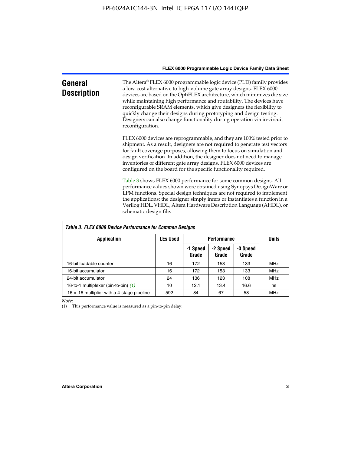| General<br><b>Description</b> | The Altera® FLEX 6000 programmable logic device (PLD) family provides<br>a low-cost alternative to high-volume gate array designs. FLEX 6000<br>devices are based on the OptiFLEX architecture, which minimizes die size<br>while maintaining high performance and routability. The devices have<br>reconfigurable SRAM elements, which give designers the flexibility to<br>quickly change their designs during prototyping and design testing.<br>Designers can also change functionality during operation via in-circuit<br>reconfiguration. |
|-------------------------------|-------------------------------------------------------------------------------------------------------------------------------------------------------------------------------------------------------------------------------------------------------------------------------------------------------------------------------------------------------------------------------------------------------------------------------------------------------------------------------------------------------------------------------------------------|
|                               | FLEX 6000 devices are reprogrammable, and they are 100% tested prior to<br>shipment. As a result, designers are not required to generate test vectors<br>for fault coverage purposes, allowing them to focus on simulation and<br>design verification. In addition, the designer does not need to manage<br>inventories of different gate array designs. FLEX 6000 devices are<br>configured on the board for the specific functionality required.                                                                                              |
|                               | Table 3 shows FLEX 6000 performance for some common designs. All<br>performance values shown were obtained using Synopsys DesignWare or<br>LPM functions. Special design techniques are not required to implement<br>the applications; the designer simply infers or instantiates a function in a<br>Verilog HDL, VHDL, Altera Hardware Description Language (AHDL), or<br>schematic design file.                                                                                                                                               |

| <b>Table 3. FLEX 6000 Device Performance for Common Designs</b> |                 |                    |                   |                   |            |  |
|-----------------------------------------------------------------|-----------------|--------------------|-------------------|-------------------|------------|--|
| Application                                                     | <b>LEs Used</b> | <b>Performance</b> | <b>Units</b>      |                   |            |  |
|                                                                 |                 | -1 Speed<br>Grade  | -2 Speed<br>Grade | -3 Speed<br>Grade |            |  |
| 16-bit loadable counter                                         | 16              | 172                | 153               | 133               | <b>MHz</b> |  |
| 16-bit accumulator                                              | 16              | 172                | 153               | 133               | <b>MHz</b> |  |
| 24-bit accumulator                                              | 24              | 136                | 123               | 108               | <b>MHz</b> |  |
| 16-to-1 multiplexer (pin-to-pin) (1)                            | 10              | 12.1               | 13.4              | 16.6              | ns         |  |
| $16 \times 16$ multiplier with a 4-stage pipeline               | 592             | 84                 | 67                | 58                | MHz        |  |

*Note:*

(1) This performance value is measured as a pin-to-pin delay.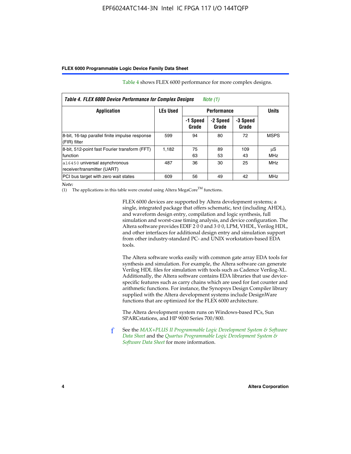| Table 4. FLEX 6000 Device Performance for Complex Designs<br>Note $(1)$ |                 |                    |                   |                   |                  |
|-------------------------------------------------------------------------|-----------------|--------------------|-------------------|-------------------|------------------|
| <b>Application</b>                                                      | <b>LEs Used</b> | <b>Performance</b> |                   |                   | <b>Units</b>     |
|                                                                         |                 | -1 Speed<br>Grade  | -2 Speed<br>Grade | -3 Speed<br>Grade |                  |
| 8-bit, 16-tap parallel finite impulse response<br>(FIR) filter          | 599             | 94                 | 80                | 72                | <b>MSPS</b>      |
| 8-bit, 512-point fast Fourier transform (FFT)<br>function               | 1.182           | 75<br>63           | 89<br>53          | 109<br>43         | μS<br><b>MHz</b> |
| a16450 universal asynchronous<br>receiver/transmitter (UART)            | 487             | 36                 | 30                | 25                | <b>MHz</b>       |
| PCI bus target with zero wait states                                    | 609             | 56                 | 49                | 42                | <b>MHz</b>       |

Table 4 shows FLEX 6000 performance for more complex designs.

*Note:*

(1) The applications in this table were created using Altera MegaCore<sup>TM</sup> functions.

FLEX 6000 devices are supported by Altera development systems; a single, integrated package that offers schematic, text (including AHDL), and waveform design entry, compilation and logic synthesis, full simulation and worst-case timing analysis, and device configuration. The Altera software provides EDIF 2 0 0 and 3 0 0, LPM, VHDL, Verilog HDL, and other interfaces for additional design entry and simulation support from other industry-standard PC- and UNIX workstation-based EDA tools.

The Altera software works easily with common gate array EDA tools for synthesis and simulation. For example, the Altera software can generate Verilog HDL files for simulation with tools such as Cadence Verilog-XL. Additionally, the Altera software contains EDA libraries that use devicespecific features such as carry chains which are used for fast counter and arithmetic functions. For instance, the Synopsys Design Compiler library supplied with the Altera development systems include DesignWare functions that are optimized for the FLEX 6000 architecture.

The Altera development system runs on Windows-based PCs, Sun SPARCstations, and HP 9000 Series 700/800.

f See the *[MAX+PLUS II Programmable Logic Development System & Software](http://www.altera.com/literature/ds/dsmii.pdf)  [Data Sheet](http://www.altera.com/literature/ds/dsmii.pdf)* and the *[Quartus Programmable Logic Development System &](http://www.altera.com/literature/ds/quartus.pdf)  [Software Data Sheet](http://www.altera.com/literature/ds/quartus.pdf)* for more information.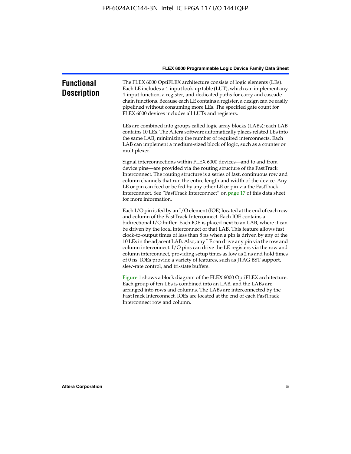| <b>Functional</b><br><b>Description</b> | The FLEX 6000 OptiFLEX architecture consists of logic elements (LEs).<br>Each LE includes a 4-input look-up table (LUT), which can implement any<br>4-input function, a register, and dedicated paths for carry and cascade<br>chain functions. Because each LE contains a register, a design can be easily<br>pipelined without consuming more LEs. The specified gate count for<br>FLEX 6000 devices includes all LUTs and registers.                                                                                                                                                                                                                                                                                                          |
|-----------------------------------------|--------------------------------------------------------------------------------------------------------------------------------------------------------------------------------------------------------------------------------------------------------------------------------------------------------------------------------------------------------------------------------------------------------------------------------------------------------------------------------------------------------------------------------------------------------------------------------------------------------------------------------------------------------------------------------------------------------------------------------------------------|
|                                         | LEs are combined into groups called logic array blocks (LABs); each LAB<br>contains 10 LEs. The Altera software automatically places related LEs into<br>the same LAB, minimizing the number of required interconnects. Each<br>LAB can implement a medium-sized block of logic, such as a counter or<br>multiplexer.                                                                                                                                                                                                                                                                                                                                                                                                                            |
|                                         | Signal interconnections within FLEX 6000 devices—and to and from<br>device pins—are provided via the routing structure of the FastTrack<br>Interconnect. The routing structure is a series of fast, continuous row and<br>column channels that run the entire length and width of the device. Any<br>LE or pin can feed or be fed by any other LE or pin via the FastTrack<br>Interconnect. See "FastTrack Interconnect" on page 17 of this data sheet<br>for more information.                                                                                                                                                                                                                                                                  |
|                                         | Each I/O pin is fed by an I/O element (IOE) located at the end of each row<br>and column of the FastTrack Interconnect. Each IOE contains a<br>bidirectional I/O buffer. Each IOE is placed next to an LAB, where it can<br>be driven by the local interconnect of that LAB. This feature allows fast<br>clock-to-output times of less than 8 ns when a pin is driven by any of the<br>10 LEs in the adjacent LAB. Also, any LE can drive any pin via the row and<br>column interconnect. I/O pins can drive the LE registers via the row and<br>column interconnect, providing setup times as low as 2 ns and hold times<br>of 0 ns. IOEs provide a variety of features, such as JTAG BST support,<br>slew-rate control, and tri-state buffers. |
|                                         | Figure 1 shows a block diagram of the FLEX 6000 OptiFLEX architecture.<br>Each group of ten LEs is combined into an LAB, and the LABs are<br>arranged into rows and columns. The LABs are interconnected by the<br>FastTrack Interconnect. IOEs are located at the end of each FastTrack<br>Interconnect row and column.                                                                                                                                                                                                                                                                                                                                                                                                                         |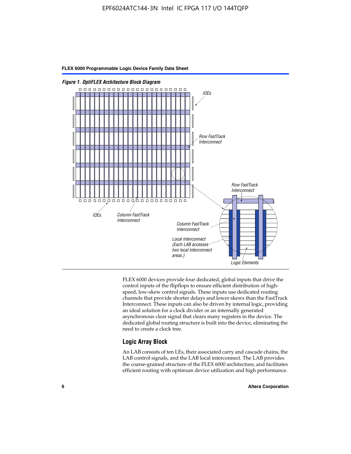

FLEX 6000 devices provide four dedicated, global inputs that drive the control inputs of the flipflops to ensure efficient distribution of highspeed, low-skew control signals. These inputs use dedicated routing channels that provide shorter delays and lower skews than the FastTrack Interconnect. These inputs can also be driven by internal logic, providing an ideal solution for a clock divider or an internally generated asynchronous clear signal that clears many registers in the device. The dedicated global routing structure is built into the device, eliminating the need to create a clock tree.

#### **Logic Array Block**

An LAB consists of ten LEs, their associated carry and cascade chains, the LAB control signals, and the LAB local interconnect. The LAB provides the coarse-grained structure of the FLEX 6000 architecture, and facilitates efficient routing with optimum device utilization and high performance.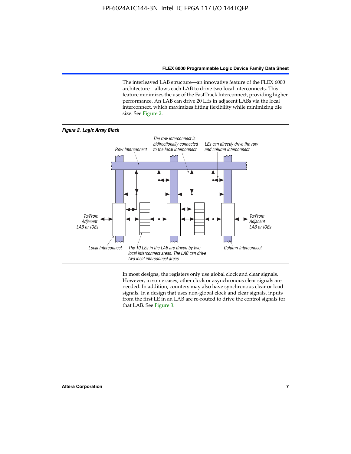The interleaved LAB structure—an innovative feature of the FLEX 6000 architecture—allows each LAB to drive two local interconnects. This feature minimizes the use of the FastTrack Interconnect, providing higher performance. An LAB can drive 20 LEs in adjacent LABs via the local interconnect, which maximizes fitting flexibility while minimizing die size. See Figure 2.



In most designs, the registers only use global clock and clear signals. However, in some cases, other clock or asynchronous clear signals are needed. In addition, counters may also have synchronous clear or load signals. In a design that uses non-global clock and clear signals, inputs from the first LE in an LAB are re-routed to drive the control signals for that LAB. See Figure 3.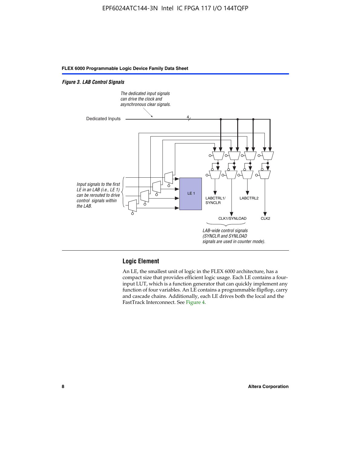#### *Figure 3. LAB Control Signals*



#### **Logic Element**

An LE, the smallest unit of logic in the FLEX 6000 architecture, has a compact size that provides efficient logic usage. Each LE contains a fourinput LUT, which is a function generator that can quickly implement any function of four variables. An LE contains a programmable flipflop, carry and cascade chains. Additionally, each LE drives both the local and the FastTrack Interconnect. See Figure 4.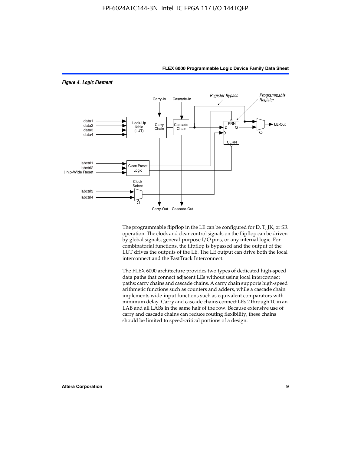

*Figure 4. Logic Element*

The programmable flipflop in the LE can be configured for D, T, JK, or SR operation. The clock and clear control signals on the flipflop can be driven by global signals, general-purpose I/O pins, or any internal logic. For combinatorial functions, the flipflop is bypassed and the output of the LUT drives the outputs of the LE. The LE output can drive both the local interconnect and the FastTrack Interconnect.

**FLEX 6000 Programmable Logic Device Family Data Sheet**

The FLEX 6000 architecture provides two types of dedicated high-speed data paths that connect adjacent LEs without using local interconnect paths: carry chains and cascade chains. A carry chain supports high-speed arithmetic functions such as counters and adders, while a cascade chain implements wide-input functions such as equivalent comparators with minimum delay. Carry and cascade chains connect LEs 2 through 10 in an LAB and all LABs in the same half of the row. Because extensive use of carry and cascade chains can reduce routing flexibility, these chains should be limited to speed-critical portions of a design.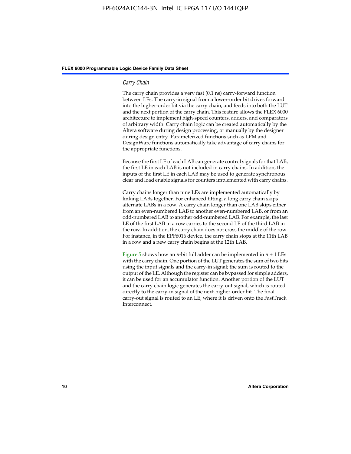#### *Carry Chain*

The carry chain provides a very fast (0.1 ns) carry-forward function between LEs. The carry-in signal from a lower-order bit drives forward into the higher-order bit via the carry chain, and feeds into both the LUT and the next portion of the carry chain. This feature allows the FLEX 6000 architecture to implement high-speed counters, adders, and comparators of arbitrary width. Carry chain logic can be created automatically by the Altera software during design processing, or manually by the designer during design entry. Parameterized functions such as LPM and DesignWare functions automatically take advantage of carry chains for the appropriate functions.

Because the first LE of each LAB can generate control signals for that LAB, the first LE in each LAB is not included in carry chains. In addition, the inputs of the first LE in each LAB may be used to generate synchronous clear and load enable signals for counters implemented with carry chains.

Carry chains longer than nine LEs are implemented automatically by linking LABs together. For enhanced fitting, a long carry chain skips alternate LABs in a row. A carry chain longer than one LAB skips either from an even-numbered LAB to another even-numbered LAB, or from an odd-numbered LAB to another odd-numbered LAB. For example, the last LE of the first LAB in a row carries to the second LE of the third LAB in the row. In addition, the carry chain does not cross the middle of the row. For instance, in the EPF6016 device, the carry chain stops at the 11th LAB in a row and a new carry chain begins at the 12th LAB.

Figure 5 shows how an *n*-bit full adder can be implemented in  $n + 1$  LEs with the carry chain. One portion of the LUT generates the sum of two bits using the input signals and the carry-in signal; the sum is routed to the output of the LE. Although the register can be bypassed for simple adders, it can be used for an accumulator function. Another portion of the LUT and the carry chain logic generates the carry-out signal, which is routed directly to the carry-in signal of the next-higher-order bit. The final carry-out signal is routed to an LE, where it is driven onto the FastTrack Interconnect.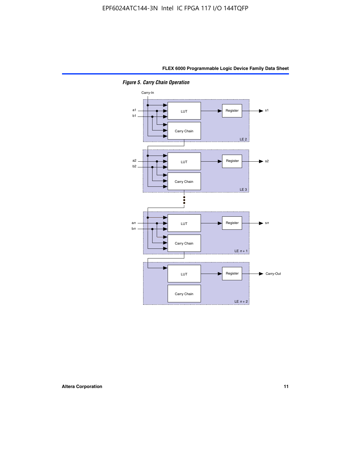

*Figure 5. Carry Chain Operation*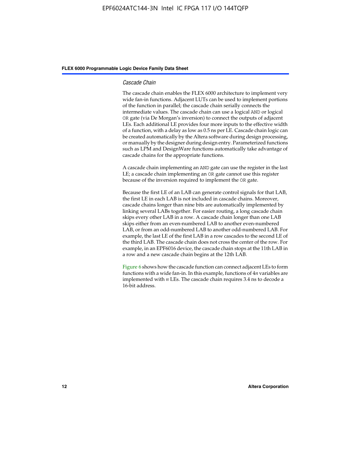#### *Cascade Chain*

The cascade chain enables the FLEX 6000 architecture to implement very wide fan-in functions. Adjacent LUTs can be used to implement portions of the function in parallel; the cascade chain serially connects the intermediate values. The cascade chain can use a logical AND or logical OR gate (via De Morgan's inversion) to connect the outputs of adjacent LEs. Each additional LE provides four more inputs to the effective width of a function, with a delay as low as 0.5 ns per LE. Cascade chain logic can be created automatically by the Altera software during design processing, or manually by the designer during design entry. Parameterized functions such as LPM and DesignWare functions automatically take advantage of cascade chains for the appropriate functions.

A cascade chain implementing an AND gate can use the register in the last LE; a cascade chain implementing an OR gate cannot use this register because of the inversion required to implement the OR gate.

Because the first LE of an LAB can generate control signals for that LAB, the first LE in each LAB is not included in cascade chains. Moreover, cascade chains longer than nine bits are automatically implemented by linking several LABs together. For easier routing, a long cascade chain skips every other LAB in a row. A cascade chain longer than one LAB skips either from an even-numbered LAB to another even-numbered LAB, or from an odd-numbered LAB to another odd-numbered LAB. For example, the last LE of the first LAB in a row cascades to the second LE of the third LAB. The cascade chain does not cross the center of the row. For example, in an EPF6016 device, the cascade chain stops at the 11th LAB in a row and a new cascade chain begins at the 12th LAB.

Figure 6 shows how the cascade function can connect adjacent LEs to form functions with a wide fan-in. In this example, functions of 4*n* variables are implemented with *n* LEs. The cascade chain requires 3.4 ns to decode a 16-bit address.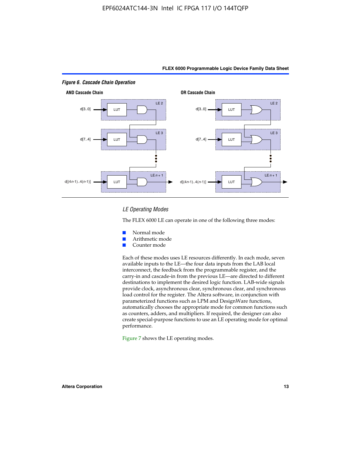

#### *LE Operating Modes*

The FLEX 6000 LE can operate in one of the following three modes:

- Normal mode
- Arithmetic mode
- Counter mode

Each of these modes uses LE resources differently. In each mode, seven available inputs to the LE—the four data inputs from the LAB local interconnect, the feedback from the programmable register, and the carry-in and cascade-in from the previous LE—are directed to different destinations to implement the desired logic function. LAB-wide signals provide clock, asynchronous clear, synchronous clear, and synchronous load control for the register. The Altera software, in conjunction with parameterized functions such as LPM and DesignWare functions, automatically chooses the appropriate mode for common functions such as counters, adders, and multipliers. If required, the designer can also create special-purpose functions to use an LE operating mode for optimal performance.

Figure 7 shows the LE operating modes.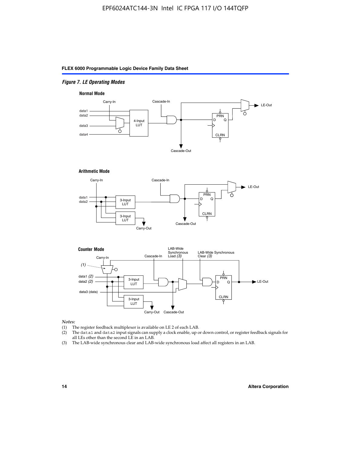#### *Figure 7. LE Operating Modes*

#### **Normal Mode**



#### **Arithmetic Mode**





#### *Notes:*

- (1) The register feedback multiplexer is available on LE 2 of each LAB.
- (2) The data1 and data2 input signals can supply a clock enable, up or down control, or register feedback signals for all LEs other than the second LE in an LAB.
- (3) The LAB-wide synchronous clear and LAB-wide synchronous load affect all registers in an LAB.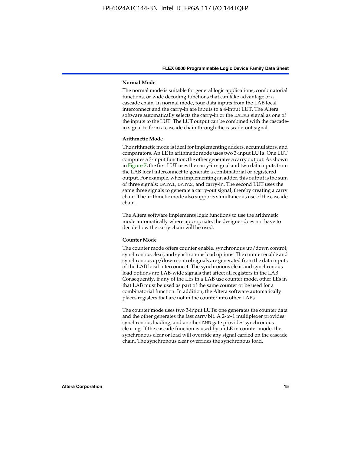#### **Normal Mode**

The normal mode is suitable for general logic applications, combinatorial functions, or wide decoding functions that can take advantage of a cascade chain. In normal mode, four data inputs from the LAB local interconnect and the carry-in are inputs to a 4-input LUT. The Altera software automatically selects the carry-in or the DATA3 signal as one of the inputs to the LUT. The LUT output can be combined with the cascadein signal to form a cascade chain through the cascade-out signal.

#### **Arithmetic Mode**

The arithmetic mode is ideal for implementing adders, accumulators, and comparators. An LE in arithmetic mode uses two 3-input LUTs. One LUT computes a 3-input function; the other generates a carry output. As shown in Figure 7, the first LUT uses the carry-in signal and two data inputs from the LAB local interconnect to generate a combinatorial or registered output. For example, when implementing an adder, this output is the sum of three signals: DATA1, DATA2, and carry-in. The second LUT uses the same three signals to generate a carry-out signal, thereby creating a carry chain. The arithmetic mode also supports simultaneous use of the cascade chain.

The Altera software implements logic functions to use the arithmetic mode automatically where appropriate; the designer does not have to decide how the carry chain will be used.

#### **Counter Mode**

The counter mode offers counter enable, synchronous up/down control, synchronous clear, and synchronous load options. The counter enable and synchronous up/down control signals are generated from the data inputs of the LAB local interconnect. The synchronous clear and synchronous load options are LAB-wide signals that affect all registers in the LAB. Consequently, if any of the LEs in a LAB use counter mode, other LEs in that LAB must be used as part of the same counter or be used for a combinatorial function. In addition, the Altera software automatically places registers that are not in the counter into other LABs.

The counter mode uses two 3-input LUTs: one generates the counter data and the other generates the fast carry bit. A 2-to-1 multiplexer provides synchronous loading, and another AND gate provides synchronous clearing. If the cascade function is used by an LE in counter mode, the synchronous clear or load will override any signal carried on the cascade chain. The synchronous clear overrides the synchronous load.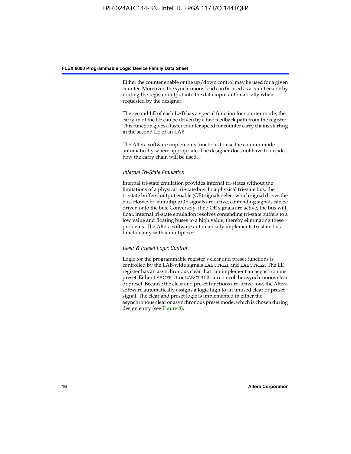Either the counter enable or the up/down control may be used for a given counter. Moreover, the synchronous load can be used as a count enable by routing the register output into the data input automatically when requested by the designer.

The second LE of each LAB has a special function for counter mode; the carry-in of the LE can be driven by a fast feedback path from the register. This function gives a faster counter speed for counter carry chains starting in the second LE of an LAB.

The Altera software implements functions to use the counter mode automatically where appropriate. The designer does not have to decide how the carry chain will be used.

#### *Internal Tri-State Emulation*

Internal tri-state emulation provides internal tri-states without the limitations of a physical tri-state bus. In a physical tri-state bus, the tri-state buffers' output enable (OE) signals select which signal drives the bus. However, if multiple OE signals are active, contending signals can be driven onto the bus. Conversely, if no OE signals are active, the bus will float. Internal tri-state emulation resolves contending tri-state buffers to a low value and floating buses to a high value, thereby eliminating these problems. The Altera software automatically implements tri-state bus functionality with a multiplexer.

#### *Clear & Preset Logic Control*

Logic for the programmable register's clear and preset functions is controlled by the LAB-wide signals LABCTRL1 and LABCTRL2. The LE register has an asynchronous clear that can implement an asynchronous preset. Either LABCTRL1 or LABCTRL2 can control the asynchronous clear or preset. Because the clear and preset functions are active-low, the Altera software automatically assigns a logic high to an unused clear or preset signal. The clear and preset logic is implemented in either the asynchronous clear or asynchronous preset mode, which is chosen during design entry (see Figure 8).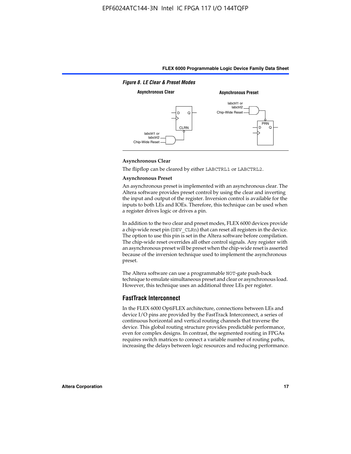

#### **Asynchronous Clear**

The flipflop can be cleared by either LABCTRL1 or LABCTRL2.

#### **Asynchronous Preset**

An asynchronous preset is implemented with an asynchronous clear. The Altera software provides preset control by using the clear and inverting the input and output of the register. Inversion control is available for the inputs to both LEs and IOEs. Therefore, this technique can be used when a register drives logic or drives a pin.

In addition to the two clear and preset modes, FLEX 6000 devices provide a chip-wide reset pin (DEV\_CLRn) that can reset all registers in the device. The option to use this pin is set in the Altera software before compilation. The chip-wide reset overrides all other control signals. Any register with an asynchronous preset will be preset when the chip-wide reset is asserted because of the inversion technique used to implement the asynchronous preset.

The Altera software can use a programmable NOT-gate push-back technique to emulate simultaneous preset and clear or asynchronous load. However, this technique uses an additional three LEs per register.

#### **FastTrack Interconnect**

In the FLEX 6000 OptiFLEX architecture, connections between LEs and device I/O pins are provided by the FastTrack Interconnect, a series of continuous horizontal and vertical routing channels that traverse the device. This global routing structure provides predictable performance, even for complex designs. In contrast, the segmented routing in FPGAs requires switch matrices to connect a variable number of routing paths, increasing the delays between logic resources and reducing performance.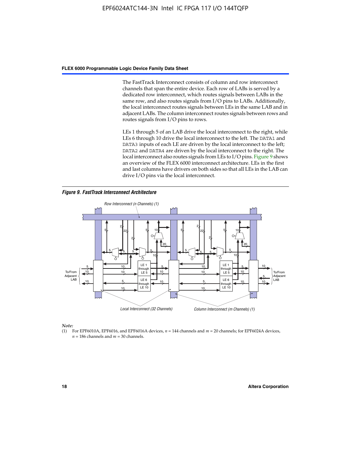The FastTrack Interconnect consists of column and row interconnect channels that span the entire device. Each row of LABs is served by a dedicated row interconnect, which routes signals between LABs in the same row, and also routes signals from I/O pins to LABs. Additionally, the local interconnect routes signals between LEs in the same LAB and in adjacent LABs. The column interconnect routes signals between rows and routes signals from I/O pins to rows.

LEs 1 through 5 of an LAB drive the local interconnect to the right, while LEs 6 through 10 drive the local interconnect to the left. The DATA1 and DATA3 inputs of each LE are driven by the local interconnect to the left; DATA2 and DATA4 are driven by the local interconnect to the right. The local interconnect also routes signals from LEs to I/O pins. Figure 9 shows an overview of the FLEX 6000 interconnect architecture. LEs in the first and last columns have drivers on both sides so that all LEs in the LAB can drive I/O pins via the local interconnect.

*Figure 9. FastTrack Interconnect Architecture*



*Note:*

(1) For EPF6010A, EPF6016, and EPF6016A devices, *n* = 144 channels and *m* = 20 channels; for EPF6024A devices,  $n = 186$  channels and  $m = 30$  channels.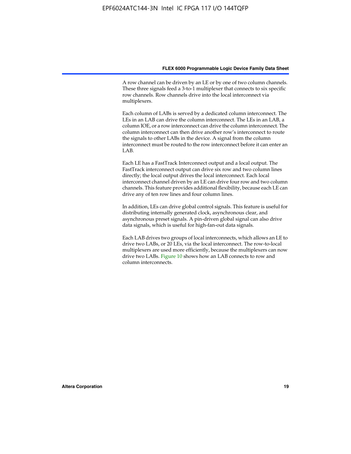A row channel can be driven by an LE or by one of two column channels. These three signals feed a 3-to-1 multiplexer that connects to six specific row channels. Row channels drive into the local interconnect via multiplexers.

Each column of LABs is served by a dedicated column interconnect. The LEs in an LAB can drive the column interconnect. The LEs in an LAB, a column IOE, or a row interconnect can drive the column interconnect. The column interconnect can then drive another row's interconnect to route the signals to other LABs in the device. A signal from the column interconnect must be routed to the row interconnect before it can enter an  $LAB$ 

Each LE has a FastTrack Interconnect output and a local output. The FastTrack interconnect output can drive six row and two column lines directly; the local output drives the local interconnect. Each local interconnect channel driven by an LE can drive four row and two column channels. This feature provides additional flexibility, because each LE can drive any of ten row lines and four column lines.

In addition, LEs can drive global control signals. This feature is useful for distributing internally generated clock, asynchronous clear, and asynchronous preset signals. A pin-driven global signal can also drive data signals, which is useful for high-fan-out data signals.

Each LAB drives two groups of local interconnects, which allows an LE to drive two LABs, or 20 LEs, via the local interconnect. The row-to-local multiplexers are used more efficiently, because the multiplexers can now drive two LABs. Figure 10 shows how an LAB connects to row and column interconnects.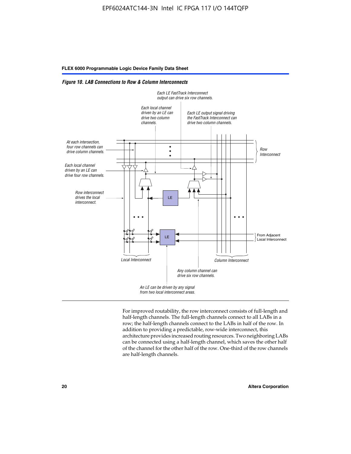*Figure 10. LAB Connections to Row & Column Interconnects*



For improved routability, the row interconnect consists of full-length and half-length channels. The full-length channels connect to all LABs in a row; the half-length channels connect to the LABs in half of the row. In addition to providing a predictable, row-wide interconnect, this architecture provides increased routing resources. Two neighboring LABs can be connected using a half-length channel, which saves the other half of the channel for the other half of the row. One-third of the row channels are half-length channels.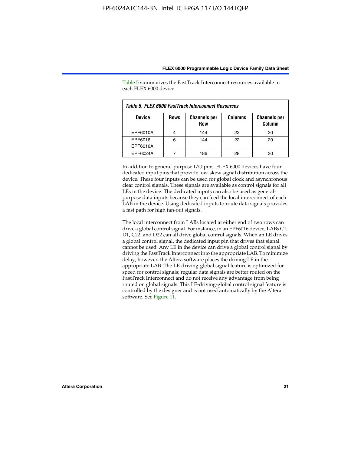| Table 5. FLEX 6000 FastTrack Interconnect Resources |             |                                   |                |                               |  |
|-----------------------------------------------------|-------------|-----------------------------------|----------------|-------------------------------|--|
| <b>Device</b>                                       | <b>Rows</b> | <b>Channels per</b><br><b>Row</b> | <b>Columns</b> | <b>Channels per</b><br>Column |  |
| EPF6010A                                            |             | 144                               | 22             | 20                            |  |
| EPF6016<br>EPF6016A                                 | 6           | 144                               | 22             | 20                            |  |
| EPF6024A                                            |             | 186                               |                | 30                            |  |

Table 5 summarizes the FastTrack Interconnect resources available in each FLEX 6000 device.

In addition to general-purpose I/O pins, FLEX 6000 devices have four dedicated input pins that provide low-skew signal distribution across the device. These four inputs can be used for global clock and asynchronous clear control signals. These signals are available as control signals for all LEs in the device. The dedicated inputs can also be used as generalpurpose data inputs because they can feed the local interconnect of each LAB in the device. Using dedicated inputs to route data signals provides a fast path for high fan-out signals.

The local interconnect from LABs located at either end of two rows can drive a global control signal. For instance, in an EPF6016 device, LABs C1, D1, C22, and D22 can all drive global control signals. When an LE drives a global control signal, the dedicated input pin that drives that signal cannot be used. Any LE in the device can drive a global control signal by driving the FastTrack Interconnect into the appropriate LAB. To minimize delay, however, the Altera software places the driving LE in the appropriate LAB. The LE-driving-global signal feature is optimized for speed for control signals; regular data signals are better routed on the FastTrack Interconnect and do not receive any advantage from being routed on global signals. This LE-driving-global control signal feature is controlled by the designer and is not used automatically by the Altera software. See Figure 11.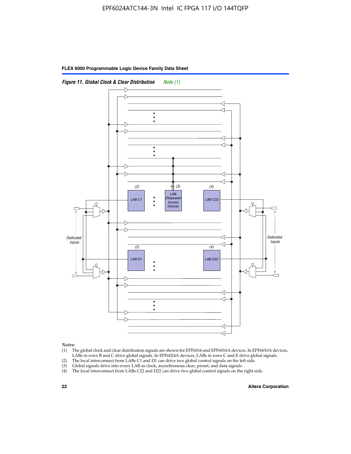



*Notes:*

- (1) The global clock and clear distribution signals are shown for EPF6016 and EPF6016A devices. In EPF6010A devices, LABs in rows B and C drive global signals. In EPF6024A devices, LABs in rows C and E drive global signals.
- (2) The local interconnect from LABs C1 and D1 can drive two global control signals on the left side.
- (3) Global signals drive into every LAB as clock, asynchronous clear, preset, and data signals.
- (4) The local interconnect from LABs C22 and D22 can drive two global control signals on the right side.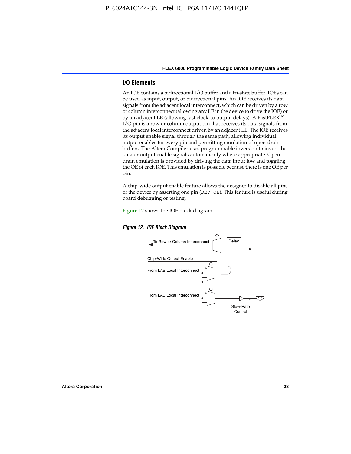#### **I/O Elements**

An IOE contains a bidirectional I/O buffer and a tri-state buffer. IOEs can be used as input, output, or bidirectional pins. An IOE receives its data signals from the adjacent local interconnect, which can be driven by a row or column interconnect (allowing any LE in the device to drive the IOE) or by an adjacent LE (allowing fast clock-to-output delays). A FastFLEX<sup>™</sup> I/O pin is a row or column output pin that receives its data signals from the adjacent local interconnect driven by an adjacent LE. The IOE receives its output enable signal through the same path, allowing individual output enables for every pin and permitting emulation of open-drain buffers. The Altera Compiler uses programmable inversion to invert the data or output enable signals automatically where appropriate. Opendrain emulation is provided by driving the data input low and toggling the OE of each IOE. This emulation is possible because there is one OE per pin.

A chip-wide output enable feature allows the designer to disable all pins of the device by asserting one pin (DEV\_OE). This feature is useful during board debugging or testing.

Figure 12 shows the IOE block diagram.



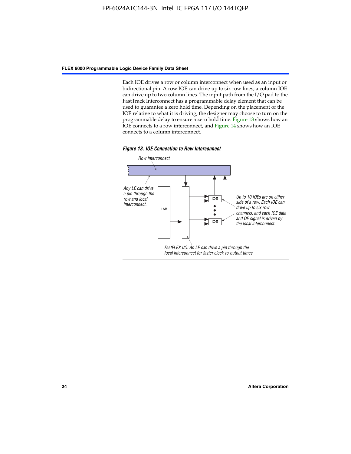Each IOE drives a row or column interconnect when used as an input or bidirectional pin. A row IOE can drive up to six row lines; a column IOE can drive up to two column lines. The input path from the I/O pad to the FastTrack Interconnect has a programmable delay element that can be used to guarantee a zero hold time. Depending on the placement of the IOE relative to what it is driving, the designer may choose to turn on the programmable delay to ensure a zero hold time. Figure 13 shows how an IOE connects to a row interconnect, and Figure 14 shows how an IOE connects to a column interconnect.



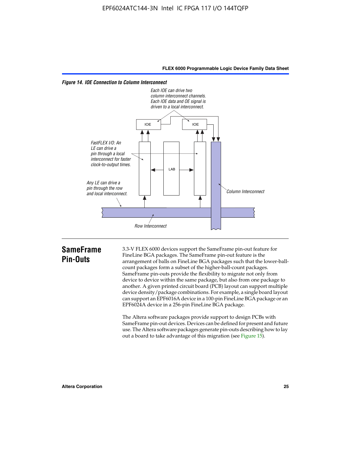



# **SameFrame Pin-Outs**

3.3-V FLEX 6000 devices support the SameFrame pin-out feature for FineLine BGA packages. The SameFrame pin-out feature is the arrangement of balls on FineLine BGA packages such that the lower-ballcount packages form a subset of the higher-ball-count packages. SameFrame pin-outs provide the flexibility to migrate not only from device to device within the same package, but also from one package to another. A given printed circuit board (PCB) layout can support multiple device density/package combinations. For example, a single board layout can support an EPF6016A device in a 100-pin FineLine BGA package or an EPF6024A device in a 256-pin FineLine BGA package.

The Altera software packages provide support to design PCBs with SameFrame pin-out devices. Devices can be defined for present and future use. The Altera software packages generate pin-outs describing how to lay out a board to take advantage of this migration (see Figure 15).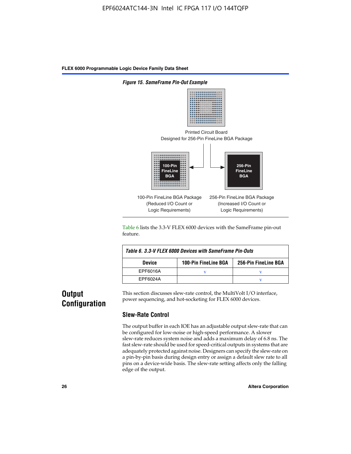

Table 6 lists the 3.3-V FLEX 6000 devices with the SameFrame pin-out feature.

| Table 6. 3.3-V FLEX 6000 Devices with SameFrame Pin-Outs |                             |                      |  |  |  |
|----------------------------------------------------------|-----------------------------|----------------------|--|--|--|
| <b>Device</b>                                            | <b>100-Pin FineLine BGA</b> | 256-Pin FineLine BGA |  |  |  |
| EPF6016A                                                 |                             |                      |  |  |  |
| EPF6024A                                                 |                             |                      |  |  |  |

# **Output Configuration**

This section discusses slew-rate control, the MultiVolt I/O interface, power sequencing, and hot-socketing for FLEX 6000 devices.

#### **Slew-Rate Control**

The output buffer in each IOE has an adjustable output slew-rate that can be configured for low-noise or high-speed performance. A slower slew-rate reduces system noise and adds a maximum delay of 6.8 ns. The fast slew-rate should be used for speed-critical outputs in systems that are adequately protected against noise. Designers can specify the slew-rate on a pin-by-pin basis during design entry or assign a default slew rate to all pins on a device-wide basis. The slew-rate setting affects only the falling edge of the output.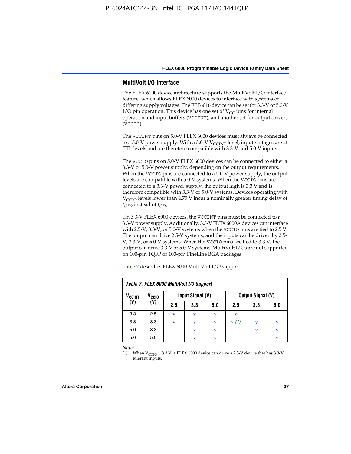#### **MultiVolt I/O Interface**

The FLEX 6000 device architecture supports the MultiVolt I/O interface feature, which allows FLEX 6000 devices to interface with systems of differing supply voltages. The EPF6016 device can be set for 3.3-V or 5.0-V I/O pin operation. This device has one set of  $V_{CC}$  pins for internal operation and input buffers (VCCINT), and another set for output drivers (VCCIO).

The VCCINT pins on 5.0-V FLEX 6000 devices must always be connected to a 5.0-V power supply. With a 5.0-V  $V_{\text{CCINT}}$  level, input voltages are at TTL levels and are therefore compatible with 3.3-V and 5.0-V inputs.

The VCCIO pins on 5.0-V FLEX 6000 devices can be connected to either a 3.3-V or 5.0-V power supply, depending on the output requirements. When the VCCIO pins are connected to a 5.0-V power supply, the output levels are compatible with 5.0-V systems. When the VCCIO pins are connected to a 3.3-V power supply, the output high is 3.3 V and is therefore compatible with 3.3-V or 5.0-V systems. Devices operating with V<sub>CCIO</sub> levels lower than 4.75 V incur a nominally greater timing delay of *tOD2* instead of *tOD1*.

On 3.3-V FLEX 6000 devices, the VCCINT pins must be connected to a 3.3-V power supply. Additionally, 3.3-V FLEX 6000A devices can interface with 2.5-V, 3.3-V, or 5.0-V systems when the VCCIO pins are tied to 2.5 V. The output can drive 2.5-V systems, and the inputs can be driven by 2.5- V, 3.3-V, or 5.0-V systems. When the VCCIO pins are tied to 3.3 V, the output can drive 3.3-V or 5.0-V systems. MultiVolt I/Os are not supported on 100-pin TQFP or 100-pin FineLine BGA packages.

| Table 7. FLEX 6000 MultiVolt I/O Support |                      |             |                         |              |                   |              |     |
|------------------------------------------|----------------------|-------------|-------------------------|--------------|-------------------|--------------|-----|
| <b>V<sub>CCINT</sub></b>                 | V <sub>CCIO</sub>    |             | Input Signal (V)        |              | Output Signal (V) |              |     |
| (V)                                      | $\tilde{\mathbf{U}}$ | 2.5         | 3.3                     | 5.0          | 2.5               | 3.3          | 5.0 |
| 3.3                                      | 2.5                  | $\mathbf v$ | v                       | $\mathbf{V}$ | $\mathbf v$       |              |     |
| 3.3                                      | 3.3                  | v           | v                       | v            | V(1)              |              | v   |
| 5.0                                      | 3.3                  |             | $\overline{\mathbf{V}}$ | $\mathbf{V}$ |                   | $\mathbf{v}$ | v   |
| 5.0                                      | 5.0                  |             | $\mathbf{v}$            | v            |                   |              | v   |

Table 7 describes FLEX 6000 MultiVolt I/O support.

*Note:*

(1) When  $V_{\text{CCIO}} = 3.3 \text{ V}$ , a FLEX 6000 device can drive a 2.5-V device that has 3.3-V tolerant inputs.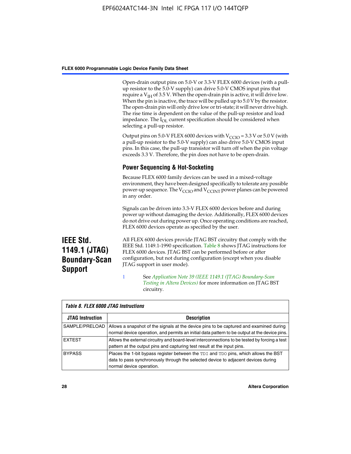Open-drain output pins on 5.0-V or 3.3-V FLEX 6000 devices (with a pullup resistor to the 5.0-V supply) can drive 5.0-V CMOS input pins that require a  $V_{IH}$  of 3.5 V. When the open-drain pin is active, it will drive low. When the pin is inactive, the trace will be pulled up to 5.0 V by the resistor. The open-drain pin will only drive low or tri-state; it will never drive high. The rise time is dependent on the value of the pull-up resistor and load impedance. The I<sub>OL</sub> current specification should be considered when selecting a pull-up resistor.

Output pins on 5.0-V FLEX 6000 devices with  $V_{\text{CCIO}} = 3.3$  V or 5.0 V (with a pull-up resistor to the 5.0-V supply) can also drive 5.0-V CMOS input pins. In this case, the pull-up transistor will turn off when the pin voltage exceeds 3.3 V. Therefore, the pin does not have to be open-drain.

#### **Power Sequencing & Hot-Socketing**

Because FLEX 6000 family devices can be used in a mixed-voltage environment, they have been designed specifically to tolerate any possible power-up sequence. The  $V_{\text{CCIO}}$  and  $V_{\text{CCINT}}$  power planes can be powered in any order.

Signals can be driven into 3.3-V FLEX 6000 devices before and during power up without damaging the device. Additionally, FLEX 6000 devices do not drive out during power up. Once operating conditions are reached, FLEX 6000 devices operate as specified by the user.

**IEEE Std. 1149.1 (JTAG) Boundary-Scan Support**

All FLEX 6000 devices provide JTAG BST circuitry that comply with the IEEE Std. 1149.1-1990 specification. Table 8 shows JTAG instructions for FLEX 6000 devices. JTAG BST can be performed before or after configuration, but not during configuration (except when you disable JTAG support in user mode).

1 See *[A](http://www.altera.com/literature/an/an039.pdf)pplication Note 39 (IEEE 1149.1 (JTAG) Boundary-Scan Testing in Altera Devices)* for more information on JTAG BST circuitry.

| Table 8. FLEX 6000 JTAG Instructions |                                                                                                                                                                                                      |  |  |  |  |  |
|--------------------------------------|------------------------------------------------------------------------------------------------------------------------------------------------------------------------------------------------------|--|--|--|--|--|
| <b>JTAG Instruction</b>              | <b>Description</b>                                                                                                                                                                                   |  |  |  |  |  |
| SAMPLE/PRELOAD                       | Allows a snapshot of the signals at the device pins to be captured and examined during<br>normal device operation, and permits an initial data pattern to be output at the device pins.              |  |  |  |  |  |
| <b>EXTEST</b>                        | Allows the external circuitry and board-level interconnections to be tested by forcing a test<br>pattern at the output pins and capturing test result at the input pins.                             |  |  |  |  |  |
| <b>BYPASS</b>                        | Places the 1-bit bypass register between the TDI and TDO pins, which allows the BST<br>data to pass synchronously through the selected device to adjacent devices during<br>normal device operation. |  |  |  |  |  |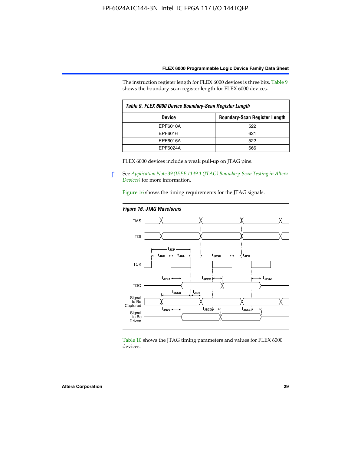The instruction register length for FLEX 6000 devices is three bits. Table 9 shows the boundary-scan register length for FLEX 6000 devices.

| Table 9. FLEX 6000 Device Boundary-Scan Register Length |                                      |  |  |  |  |
|---------------------------------------------------------|--------------------------------------|--|--|--|--|
| <b>Device</b>                                           | <b>Boundary-Scan Register Length</b> |  |  |  |  |
| EPF6010A                                                | 522                                  |  |  |  |  |
| EPF6016                                                 | 621                                  |  |  |  |  |
| EPF6016A                                                | 522                                  |  |  |  |  |
| EPF6024A                                                | 666                                  |  |  |  |  |

FLEX 6000 devices include a weak pull-up on JTAG pins.

f See *[Application Note 39 \(IEEE 1149.1 \(JTAG\) Boundary-Scan Testing in Altera](http://www.altera.com/literature/an/an039.pdf)  [Devices\)](http://www.altera.com/literature/an/an039.pdf)* for more information.

Figure 16 shows the timing requirements for the JTAG signals.

#### *Figure 16. JTAG Waveforms*



Table 10 shows the JTAG timing parameters and values for FLEX 6000 devices.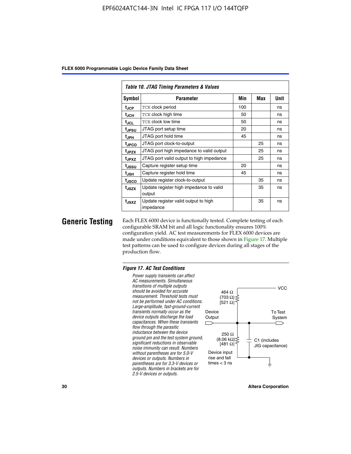| Table 10. JTAG Timing Parameters & Values |                                                   |     |     |      |  |  |  |  |  |  |
|-------------------------------------------|---------------------------------------------------|-----|-----|------|--|--|--|--|--|--|
| Symbol                                    | <b>Parameter</b>                                  | Min | Max | Unit |  |  |  |  |  |  |
| t <sub>JCP</sub>                          | <b>TCK clock period</b>                           | 100 |     | ns   |  |  |  |  |  |  |
| t <sub>JCH</sub>                          | TCK clock high time                               | 50  |     | ns   |  |  |  |  |  |  |
| t <sub>JCL</sub>                          | <b>TCK clock low time</b>                         |     |     | ns   |  |  |  |  |  |  |
| t <sub>JPSU</sub>                         | JTAG port setup time                              |     |     | ns   |  |  |  |  |  |  |
| t <sub>JPH</sub>                          | JTAG port hold time                               |     |     | ns   |  |  |  |  |  |  |
| t <sub>JPCO</sub>                         | JTAG port clock-to-output                         |     | 25  | ns   |  |  |  |  |  |  |
| t <sub>JPZX</sub>                         | JTAG port high impedance to valid output          |     | 25  | ns   |  |  |  |  |  |  |
| t <sub>JPXZ</sub>                         | JTAG port valid output to high impedance          |     | 25  | ns   |  |  |  |  |  |  |
| tjssu                                     | Capture register setup time                       | 20  |     | ns   |  |  |  |  |  |  |
| t <sub>JSH</sub>                          | Capture register hold time                        | 45  |     | ns   |  |  |  |  |  |  |
| tjsco                                     | Update register clock-to-output                   |     | 35  | ns   |  |  |  |  |  |  |
| t <sub>JSZX</sub>                         | Update register high impedance to valid<br>output |     | 35  | ns   |  |  |  |  |  |  |
| t <sub>JSXZ</sub>                         | Update register valid output to high<br>impedance |     | 35  | ns   |  |  |  |  |  |  |

**Generic Testing** Each FLEX 6000 device is functionally tested. Complete testing of each configurable SRAM bit and all logic functionality ensures 100% configuration yield. AC test measurements for FLEX 6000 devices are made under conditions equivalent to those shown in Figure 17. Multiple test patterns can be used to configure devices during all stages of the production flow.

#### *Figure 17. AC Test Conditions*

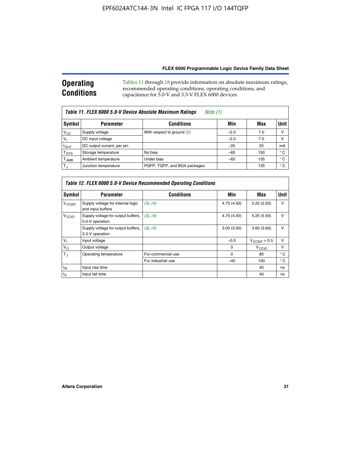#### **Operating Conditions** Tables 11 through 18 provide information on absolute maximum ratings, recommended operating conditions, operating conditions, and capacitance for 5.0-V and 3.3-V FLEX 6000 devices.

| Table 11. FLEX 6000 5.0-V Device Absolute Maximum Ratings<br><i>Note</i> $(1)$ |                                       |                              |        |     |             |  |  |  |  |
|--------------------------------------------------------------------------------|---------------------------------------|------------------------------|--------|-----|-------------|--|--|--|--|
| Symbol                                                                         | <b>Conditions</b><br><b>Parameter</b> |                              | Min    | Max | <b>Unit</b> |  |  |  |  |
| $V_{CC}$                                                                       | Supply voltage                        | With respect to ground (2)   | $-2.0$ | 7.0 | V           |  |  |  |  |
| $V_1$                                                                          | DC input voltage                      |                              | $-2.0$ | 7.0 | V           |  |  |  |  |
| $I_{OUT}$                                                                      | DC output current, per pin            |                              | $-25$  | 25  | mA          |  |  |  |  |
| $T_{\hbox{\scriptsize STG}}$                                                   | Storage temperature                   | No bias                      | $-65$  | 150 | ° C         |  |  |  |  |
| Г <sub>АМВ</sub>                                                               | Ambient temperature                   | Under bias                   | $-65$  | 135 | ° C         |  |  |  |  |
| $T_J$                                                                          | Junction temperature                  | PQFP, TQFP, and BGA packages |        | 135 | ° C         |  |  |  |  |

| Table 12. FLEX 6000 5.0-V Device Recommended Operating Conditions |                                                        |                    |             |                          |              |  |  |  |  |
|-------------------------------------------------------------------|--------------------------------------------------------|--------------------|-------------|--------------------------|--------------|--|--|--|--|
| Symbol                                                            | <b>Parameter</b>                                       | <b>Conditions</b>  | Min         | Max                      | Unit         |  |  |  |  |
| <b>V<sub>CCINT</sub></b>                                          | Supply voltage for internal logic<br>and input buffers | (3), (4)           | 4.75 (4.50) | 5.25(5.50)               | v            |  |  |  |  |
| V <sub>CCIO</sub>                                                 | Supply voltage for output buffers,<br>5.0-V operation  | (3), (4)           | 4.75 (4.50) | 5.25(5.50)               | $\mathsf{V}$ |  |  |  |  |
|                                                                   | Supply voltage for output buffers,<br>3.3-V operation  | (3), (4)           | 3.00(3.00)  | 3.60(3.60)               | $\vee$       |  |  |  |  |
| $V_1$                                                             | Input voltage                                          |                    | $-0.5$      | $V_{\text{CCINT}} + 0.5$ | v            |  |  |  |  |
| $V_{\rm O}$                                                       | Output voltage                                         |                    | $\Omega$    | V <sub>CCIO</sub>        | $\vee$       |  |  |  |  |
| $T_{\rm d}$                                                       | Operating temperature                                  | For commercial use | 0           | 85                       | $^{\circ}$ C |  |  |  |  |
|                                                                   |                                                        | For industrial use | $-40$       | 100                      | $^{\circ}$ C |  |  |  |  |
| $t_{R}$                                                           | Input rise time                                        |                    |             | 40                       | ns           |  |  |  |  |
| tF                                                                | Input fall time                                        |                    |             | 40                       | ns           |  |  |  |  |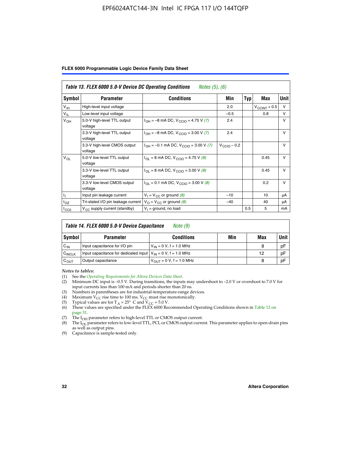#### EPF6024ATC144-3N Intel IC FPGA 117 I/O 144TQFP

|  |  |  | FLEX 6000 Programmable Logic Device Family Data Sheet |  |  |  |
|--|--|--|-------------------------------------------------------|--|--|--|
|--|--|--|-------------------------------------------------------|--|--|--|

| Table 13. FLEX 6000 5.0-V Device DC Operating Conditions<br><i>Notes</i> $(5)$ , $(6)$ |                                         |                                                                           |                         |     |                          |              |  |  |  |
|----------------------------------------------------------------------------------------|-----------------------------------------|---------------------------------------------------------------------------|-------------------------|-----|--------------------------|--------------|--|--|--|
| Symbol                                                                                 | <b>Parameter</b>                        | Conditions                                                                | Min                     | Typ | Max                      | Unit         |  |  |  |
| V <sub>IH</sub>                                                                        | High-level input voltage                |                                                                           | 2.0                     |     | $V_{\text{CCINT}} + 0.5$ | $\vee$       |  |  |  |
| $V_{\parallel}$                                                                        | Low-level input voltage                 |                                                                           | $-0.5$                  |     | 0.8                      | $\vee$       |  |  |  |
| $V_{OH}$                                                                               | 5.0-V high-level TTL output<br>voltage  | $I_{OH} = -8$ mA DC, $V_{CCIO} = 4.75$ V (7)                              | 2.4                     |     |                          | $\vee$       |  |  |  |
|                                                                                        | 3.3-V high-level TTL output<br>voltage  | $I_{OH} = -8$ mA DC, $V_{CClO} = 3.00$ V (7)                              | 2.4                     |     |                          | V            |  |  |  |
|                                                                                        | 3.3-V high-level CMOS output<br>voltage | $I_{OH} = -0.1$ mA DC, $V_{CCIO} = 3.00$ V (7)                            | $V_{\text{CCIO}} - 0.2$ |     |                          | $\mathsf{V}$ |  |  |  |
| $V_{OL}$                                                                               | 5.0-V low-level TTL output<br>voltage   | $I_{\text{OI}}$ = 8 mA DC, V <sub>CCIO</sub> = 4.75 V (8)                 |                         |     | 0.45                     | $\vee$       |  |  |  |
|                                                                                        | 3.3-V low-level TTL output<br>voltage   | $I_{\text{OI}} = 8 \text{ mA DC}, V_{\text{CCl}} = 3.00 \text{ V } (8)$   |                         |     | 0.45                     | $\mathsf{V}$ |  |  |  |
|                                                                                        | 3.3-V low-level CMOS output<br>voltage  | $I_{\text{OI}} = 0.1 \text{ mA DC}, V_{\text{CCIO}} = 3.00 \text{ V} (8)$ |                         |     | 0.2                      | $\vee$       |  |  |  |
|                                                                                        | Input pin leakage current               | $V_1 = V_{CC}$ or ground (8)                                              | $-10$                   |     | 10                       | μA           |  |  |  |
| $I_{OZ}$                                                                               | Tri-stated I/O pin leakage current      | $V_{\Omega}$ = $V_{\text{CC}}$ or ground (8)                              | $-40$                   |     | 40                       | μA           |  |  |  |
| ICCO                                                                                   | $V_{CC}$ supply current (standby)       | $V_1$ = ground, no load                                                   |                         | 0.5 | 5                        | mA           |  |  |  |

| Table 14. FLEX 6000 5.0-V Device Capacitance<br>Note (9) |                                                                    |                               |     |     |             |  |  |  |
|----------------------------------------------------------|--------------------------------------------------------------------|-------------------------------|-----|-----|-------------|--|--|--|
| Symbol                                                   | <b>Parameter</b>                                                   | <b>Conditions</b>             | Min | Max | <b>Unit</b> |  |  |  |
| $C_{IN}$                                                 | Input capacitance for I/O pin                                      | $V_{IN} = 0 V$ , f = 1.0 MHz  |     | 8   | pF          |  |  |  |
| $C_{\text{INCLK}}$                                       | Input capacitance for dedicated input $V_{IN} = 0 V$ , f = 1.0 MHz |                               |     | 12  | pF          |  |  |  |
| $C_{OUT}$                                                | Output capacitance                                                 | $V_{OIII}$ = 0 V, f = 1.0 MHz |     | 8   | pF          |  |  |  |

*Notes to tables:*

- (3) Numbers in parentheses are for industrial-temperature-range devices.
- (4) Maximum  $V_{CC}$  rise time to 100 ms.  $V_{CC}$  must rise monotonically.
- 
- (5) Typical values are for T<sub>A</sub> = 25° C and V<sub>CC</sub> = 5.0 V.<br>(6) These values are specified under the FLEX 6000 Recommended Operating Conditions shown in Table 12 on page 31.
- (7) The I<sub>OH</sub> parameter refers to high-level TTL or CMOS output current.
- (8) The I<sub>OL</sub> parameter refers to low-level TTL, PCI, or CMOS output current. This parameter applies to open-drain pins as well as output pins.
- (9) Capacitance is sample-tested only.

<sup>(1)</sup> See the *[Operating Requirements for Altera Devices Data Sheet](http://www.altera.com/literature/ds/dsoprq.pdf)*.

Minimum DC input is –0.5 V. During transitions, the inputs may undershoot to –2.0 V or overshoot to 7.0 V for input currents less than 100 mA and periods shorter than 20 ns.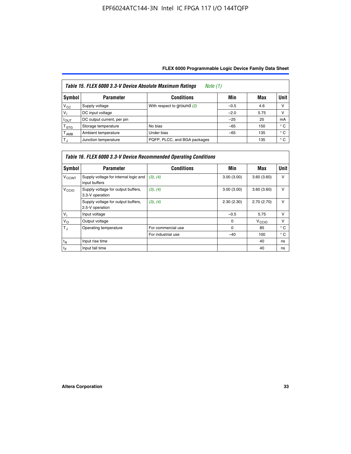| Table 15. FLEX 6000 3.3-V Device Absolute Maximum Ratings<br><i>Note</i> $(1)$ |                            |                              |        |      |              |  |  |  |  |
|--------------------------------------------------------------------------------|----------------------------|------------------------------|--------|------|--------------|--|--|--|--|
| Symbol                                                                         | <b>Parameter</b>           | <b>Conditions</b>            | Min    | Max  | Unit         |  |  |  |  |
| $V_{\rm CC}$                                                                   | Supply voltage             | With respect to ground (2)   | $-0.5$ | 4.6  | ν            |  |  |  |  |
| $V_1$                                                                          | DC input voltage           |                              | $-2.0$ | 5.75 | ν            |  |  |  |  |
| $I_{\text{OUT}}$                                                               | DC output current, per pin |                              | $-25$  | 25   | mA           |  |  |  |  |
| T <sub>STG</sub>                                                               | Storage temperature        | No bias                      | $-65$  | 150  | $^{\circ}$ C |  |  |  |  |
| Т <sub>АМВ</sub>                                                               | Ambient temperature        | Under bias                   | $-65$  | 135  | $^{\circ}$ C |  |  |  |  |
| $T_{\rm J}$                                                                    | Junction temperature       | PQFP, PLCC, and BGA packages |        | 135  | $^{\circ}$ C |  |  |  |  |

| Table 16. FLEX 6000 3.3-V Device Recommended Operating Conditions |                                                        |                    |            |                   |              |  |  |  |  |
|-------------------------------------------------------------------|--------------------------------------------------------|--------------------|------------|-------------------|--------------|--|--|--|--|
| Symbol                                                            | <b>Parameter</b>                                       | <b>Conditions</b>  | Min        | Max               | <b>Unit</b>  |  |  |  |  |
| <b>V<sub>CCINT</sub></b>                                          | Supply voltage for internal logic and<br>input buffers | (3), (4)           | 3.00(3.00) | 3.60(3.60)        | $\vee$       |  |  |  |  |
| V <sub>CCIO</sub>                                                 | Supply voltage for output buffers,<br>3.3-V operation  | (3), (4)           | 3.00(3.00) | 3.60(3.60)        | $\vee$       |  |  |  |  |
|                                                                   | Supply voltage for output buffers,<br>2.5-V operation  | (3), (4)           | 2.30(2.30) | 2.70(2.70)        | $\vee$       |  |  |  |  |
| $V_{\perp}$                                                       | Input voltage                                          |                    | $-0.5$     | 5.75              | $\vee$       |  |  |  |  |
| $V_{\rm O}$                                                       | Output voltage                                         |                    | $\Omega$   | V <sub>CCIO</sub> | $\vee$       |  |  |  |  |
| $T_{\rm J}$                                                       | Operating temperature                                  | For commercial use | 0          | 85                | $^{\circ}$ C |  |  |  |  |
|                                                                   |                                                        | For industrial use | $-40$      | 100               | $^{\circ}$ C |  |  |  |  |
| $t_{R}$                                                           | Input rise time                                        |                    |            | 40                | ns           |  |  |  |  |
| $t_F$                                                             | Input fall time                                        |                    |            | 40                | ns           |  |  |  |  |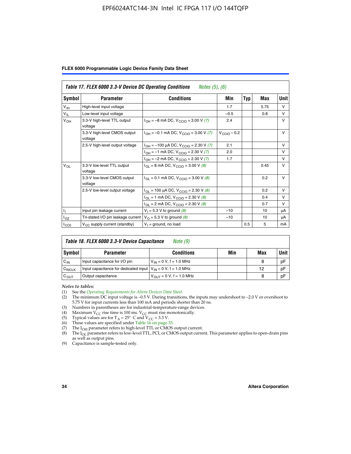#### EPF6024ATC144-3N Intel IC FPGA 117 I/O 144TQFP

|  |  |  | FLEX 6000 Programmable Logic Device Family Data Sheet |  |  |  |  |  |
|--|--|--|-------------------------------------------------------|--|--|--|--|--|
|--|--|--|-------------------------------------------------------|--|--|--|--|--|

| Table 17. FLEX 6000 3.3-V Device DC Operating Conditions<br><i>Notes</i> $(5)$ , $(6)$ |                                                                                   |                                                                            |                         |            |      |              |  |  |  |
|----------------------------------------------------------------------------------------|-----------------------------------------------------------------------------------|----------------------------------------------------------------------------|-------------------------|------------|------|--------------|--|--|--|
| Symbol                                                                                 | <b>Parameter</b>                                                                  | <b>Conditions</b>                                                          | Min                     | <b>Typ</b> | Max  | Unit         |  |  |  |
| $V_{\text{IH}}$                                                                        | High-level input voltage                                                          |                                                                            | 1.7                     |            | 5.75 | $\vee$       |  |  |  |
| $V_{IL}$                                                                               | Low-level input voltage                                                           |                                                                            | $-0.5$                  |            | 0.8  | $\vee$       |  |  |  |
| $V_{OH}$                                                                               | 3.3-V high-level TTL output<br>voltage                                            | $I_{OH} = -8$ mA DC, $V_{CGIO} = 3.00$ V (7)                               | 2.4                     |            |      | v            |  |  |  |
|                                                                                        | 3.3-V high-level CMOS output<br>voltage                                           | $I_{OH} = -0.1$ mA DC, $V_{CClO} = 3.00$ V (7)                             | $V_{\text{CCIO}} - 0.2$ |            |      | v            |  |  |  |
|                                                                                        | 2.5-V high-level output voltage<br>$I_{OH}$ = -100 µA DC, $V_{CCIO}$ = 2.30 V (7) |                                                                            | 2.1                     |            |      | $\mathsf{V}$ |  |  |  |
|                                                                                        |                                                                                   | $I_{OH} = -1$ mA DC, $V_{CCIO} = 2.30 V (7)$                               | 2.0                     |            |      | $\vee$       |  |  |  |
|                                                                                        |                                                                                   | $I_{OH} = -2$ mA DC, $V_{CGIO} = 2.30$ V (7)                               | 1.7                     |            |      | $\vee$       |  |  |  |
| $V_{OL}$                                                                               | 3.3-V low-level TTL output<br>voltage                                             | $I_{\text{OI}} = 8 \text{ mA DC}$ , $V_{\text{CCIO}} = 3.00 \text{ V}$ (8) |                         |            | 0.45 | $\vee$       |  |  |  |
|                                                                                        | 3.3-V low-level CMOS output<br>voltage                                            | $I_{OL} = 0.1$ mA DC, $V_{CCIO} = 3.00$ V (8)                              |                         |            | 0.2  | $\vee$       |  |  |  |
|                                                                                        | 2.5-V low-level output voltage                                                    | $I_{OL}$ = 100 µA DC, V <sub>CCIO</sub> = 2.30 V (8)                       |                         |            | 0.2  | V            |  |  |  |
|                                                                                        |                                                                                   | $I_{OL}$ = 1 mA DC, V <sub>CCIO</sub> = 2.30 V (8)                         |                         |            | 0.4  | $\vee$       |  |  |  |
|                                                                                        |                                                                                   | $I_{OL}$ = 2 mA DC, $V_{CCIO}$ = 2.30 V (8)                                |                         |            | 0.7  | $\vee$       |  |  |  |
| Ιī.                                                                                    | Input pin leakage current                                                         | $V_1 = 5.3 V$ to ground (8)                                                | $-10$                   |            | 10   | μA           |  |  |  |
| l <sub>OZ</sub>                                                                        | Tri-stated I/O pin leakage current                                                | $V_{\Omega}$ = 5.3 V to ground (8)                                         | $-10$                   |            | 10   | μA           |  |  |  |
| ICCO                                                                                   | $V_{CC}$ supply current (standby)                                                 | $V_1$ = ground, no load                                                    |                         | 0.5        | 5    | mA           |  |  |  |

| Table 18. FLEX 6000 3.3-V Device Capacitance<br>Note (9) |                                                                    |                               |     |     |             |  |  |  |
|----------------------------------------------------------|--------------------------------------------------------------------|-------------------------------|-----|-----|-------------|--|--|--|
| Symbol                                                   | <b>Parameter</b>                                                   | <b>Conditions</b>             | Min | Max | <b>Unit</b> |  |  |  |
| $C_{IN}$                                                 | Input capacitance for I/O pin                                      | $V_{IN} = 0 V$ , f = 1.0 MHz  |     | 8   | pF          |  |  |  |
| C <sub>INCLK</sub>                                       | Input capacitance for dedicated input $V_{IN} = 0 V$ , f = 1.0 MHz |                               |     | 12  | pF          |  |  |  |
| $C_{OUT}$                                                | Output capacitance                                                 | $V_{OIII}$ = 0 V, f = 1.0 MHz |     | 8   | pF          |  |  |  |

*Notes to tables:*

- (3) Numbers in parentheses are for industrial-temperature-range devices.
- (4) Maximum V<sub>CC</sub> rise time is 100 ms. V<sub>CC</sub> must rise monotonically.
- (5) Typical values are for  $T_A = 25^\circ$  C and  $V_{CC} = 3.3$  V.<br>(6) These values are specified under Table 16 on page 33.
- 
- (7) The  $I_{OH}$  parameter refers to high-level TTL or CMOS output current.
- (8) The  $I_{OL}$  parameter refers to low-level TTL, PCI, or CMOS output current. This parameter applies to open-drain pins as well as output pins.

(9) Capacitance is sample-tested only.

<sup>(1)</sup> See the *[Operating Requirements for Altera Devices Data Sheet](http://www.altera.com/literature/ds/dsoprq.pdf)*.

<sup>(2)</sup> The minimum DC input voltage is –0.5 V. During transitions, the inputs may undershoot to –2.0 V or overshoot to 5.75 V for input currents less than 100 mA and periods shorter than 20 ns.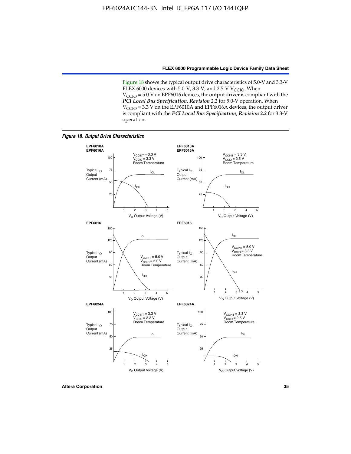Figure 18 shows the typical output drive characteristics of 5.0-V and 3.3-V FLEX 6000 devices with 5.0-V,  $3.3$ -V, and 2.5-V V<sub>CCIO</sub>. When  $V_{\text{CCIO}}$  = 5.0 V on EPF6016 devices, the output driver is compliant with the *PCI Local Bus Specification*, *Revision 2.2* for 5.0-V operation. When  $V_{\text{CCIO}} = 3.3$  V on the EPF6010A and EPF6016A devices, the output driver is compliant with the *PCI Local Bus Specification*, *Revision 2.2* for 3.3-V operation.

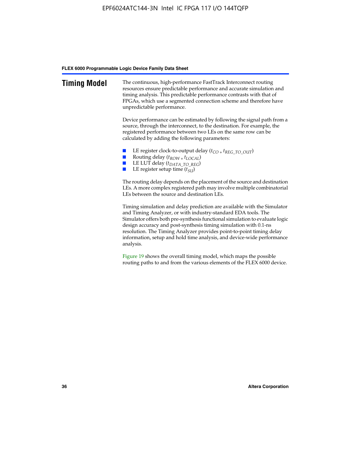| <b>Timing Model</b> | The continuous, high-performance FastTrack Interconnect routing<br>resources ensure predictable performance and accurate simulation and<br>timing analysis. This predictable performance contrasts with that of<br>FPGAs, which use a segmented connection scheme and therefore have<br>unpredictable performance.                                                                                                                                         |
|---------------------|------------------------------------------------------------------------------------------------------------------------------------------------------------------------------------------------------------------------------------------------------------------------------------------------------------------------------------------------------------------------------------------------------------------------------------------------------------|
|                     | Device performance can be estimated by following the signal path from a<br>source, through the interconnect, to the destination. For example, the<br>registered performance between two LEs on the same row can be<br>calculated by adding the following parameters:                                                                                                                                                                                       |
|                     | LE register clock-to-output delay $(t_{CO} + t_{REG\_TO\_OUT})$<br>Routing delay $(t_{ROW} + t_{LOCAL})$<br>LE LUT delay (t <sub>DATA_TO_REG</sub> )<br>LE register setup time $(t_{\text{SU}})$                                                                                                                                                                                                                                                           |
|                     | The routing delay depends on the placement of the source and destination<br>LEs. A more complex registered path may involve multiple combinatorial<br>LEs between the source and destination LEs.                                                                                                                                                                                                                                                          |
|                     | Timing simulation and delay prediction are available with the Simulator<br>and Timing Analyzer, or with industry-standard EDA tools. The<br>Simulator offers both pre-synthesis functional simulation to evaluate logic<br>design accuracy and post-synthesis timing simulation with 0.1-ns<br>resolution. The Timing Analyzer provides point-to-point timing delay<br>information, setup and hold time analysis, and device-wide performance<br>analysis. |
|                     | Figure 19 shows the overall timing model, which maps the possible<br>routing paths to and from the various elements of the FLEX 6000 device.                                                                                                                                                                                                                                                                                                               |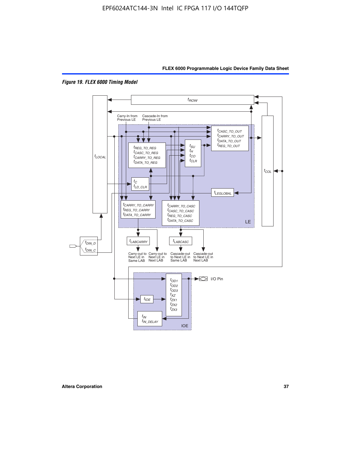



*Figure 19. FLEX 6000 Timing Model*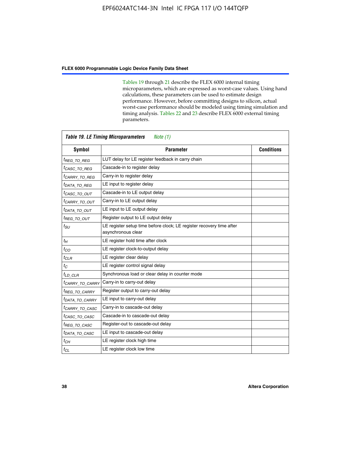Tables 19 through 21 describe the FLEX 6000 internal timing microparameters, which are expressed as worst-case values. Using hand calculations, these parameters can be used to estimate design performance. However, before committing designs to silicon, actual worst-case performance should be modeled using timing simulation and timing analysis. Tables 22 and 23 describe FLEX 6000 external timing parameters.

| <b>Table 19. LE Timing Microparameters</b><br>Note (1) |                                                                                            |                   |  |  |  |  |  |
|--------------------------------------------------------|--------------------------------------------------------------------------------------------|-------------------|--|--|--|--|--|
| <b>Symbol</b>                                          | <b>Parameter</b>                                                                           | <b>Conditions</b> |  |  |  |  |  |
| <sup>t</sup> REG TO REG                                | LUT delay for LE register feedback in carry chain                                          |                   |  |  |  |  |  |
| <sup>t</sup> CASC TO REG                               | Cascade-in to register delay                                                               |                   |  |  |  |  |  |
| <sup>t</sup> CARRY TO REG                              | Carry-in to register delay                                                                 |                   |  |  |  |  |  |
| <sup>t</sup> DATA_TO_REG                               | LE input to register delay                                                                 |                   |  |  |  |  |  |
| <sup>t</sup> CASC_TO_OUT                               | Cascade-in to LE output delay                                                              |                   |  |  |  |  |  |
| <sup>t</sup> CARRY TO OUT                              | Carry-in to LE output delay                                                                |                   |  |  |  |  |  |
| <sup>t</sup> data to out                               | LE input to LE output delay                                                                |                   |  |  |  |  |  |
| <sup>t</sup> REG_TO_OUT                                | Register output to LE output delay                                                         |                   |  |  |  |  |  |
| $t_{SU}$                                               | LE register setup time before clock; LE register recovery time after<br>asynchronous clear |                   |  |  |  |  |  |
| $t_H$                                                  | LE register hold time after clock                                                          |                   |  |  |  |  |  |
| $t_{CO}$                                               | LE register clock-to-output delay                                                          |                   |  |  |  |  |  |
| $t_{CLR}$                                              | LE register clear delay                                                                    |                   |  |  |  |  |  |
| $t_C$                                                  | LE register control signal delay                                                           |                   |  |  |  |  |  |
| $t_{LD\_CLR}$                                          | Synchronous load or clear delay in counter mode                                            |                   |  |  |  |  |  |
| <sup>t</sup> CARRY TO CARRY                            | Carry-in to carry-out delay                                                                |                   |  |  |  |  |  |
| <sup>t</sup> REG TO CARRY                              | Register output to carry-out delay                                                         |                   |  |  |  |  |  |
| <sup>t</sup> DATA_TO_CARRY                             | LE input to carry-out delay                                                                |                   |  |  |  |  |  |
| <sup>t</sup> CARRY_TO_CASC                             | Carry-in to cascade-out delay                                                              |                   |  |  |  |  |  |
| <sup>t</sup> CASC TO CASC                              | Cascade-in to cascade-out delay                                                            |                   |  |  |  |  |  |
| <sup>t</sup> REG TO CASC                               | Register-out to cascade-out delay                                                          |                   |  |  |  |  |  |
| <sup>t</sup> DATA TO CASC                              | LE input to cascade-out delay                                                              |                   |  |  |  |  |  |
| $t_{CH}$                                               | LE register clock high time                                                                |                   |  |  |  |  |  |
| $t_{CL}$                                               | LE register clock low time                                                                 |                   |  |  |  |  |  |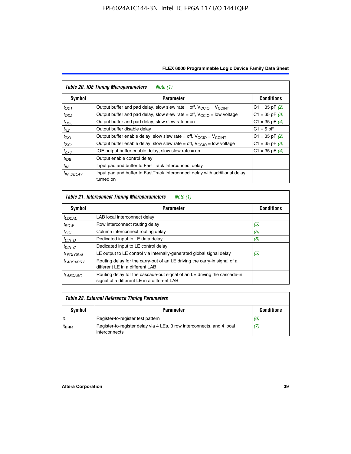| FLEX 6000 Programmable Logic Device Family Data Sheet |  |  |  |
|-------------------------------------------------------|--|--|--|
|                                                       |  |  |  |

| <b>Table 20. IOE Timing Microparameters</b><br>Note (1) |                                                                                         |                    |  |  |  |  |  |
|---------------------------------------------------------|-----------------------------------------------------------------------------------------|--------------------|--|--|--|--|--|
| Symbol                                                  | <b>Parameter</b>                                                                        | <b>Conditions</b>  |  |  |  |  |  |
| $t_{OD1}$                                               | Output buffer and pad delay, slow slew rate = off, $V_{\text{CCIO}} = V_{\text{CCINT}}$ | $C1 = 35$ pF $(2)$ |  |  |  |  |  |
| $t_{OD2}$                                               | Output buffer and pad delay, slow slew rate = off, $V_{\text{CCIO}}$ = low voltage      | $C1 = 35$ pF $(3)$ |  |  |  |  |  |
| $t_{OD3}$                                               | Output buffer and pad delay, slow slew rate $=$ on                                      | $C1 = 35$ pF $(4)$ |  |  |  |  |  |
| $t_{XZ}$                                                | Output buffer disable delay                                                             | $C1 = 5pF$         |  |  |  |  |  |
| $t_{ZX1}$                                               | Output buffer enable delay, slow slew rate = off, $V_{\text{CCIO}} = V_{\text{CCINT}}$  | $C1 = 35$ pF $(2)$ |  |  |  |  |  |
| $t_{ZX2}$                                               | Output buffer enable delay, slow slew rate = off, $V_{\text{CCIO}}$ = low voltage       | $C1 = 35$ pF $(3)$ |  |  |  |  |  |
| $t_{ZX3}$                                               | IOE output buffer enable delay, slow slew rate $=$ on                                   | $C1 = 35$ pF $(4)$ |  |  |  |  |  |
| $t_{IOE}$                                               | Output enable control delay                                                             |                    |  |  |  |  |  |
| $t_{IN}$                                                | Input pad and buffer to FastTrack Interconnect delay                                    |                    |  |  |  |  |  |
| <sup>t</sup> IN DELAY                                   | Input pad and buffer to FastTrack Interconnect delay with additional delay<br>turned on |                    |  |  |  |  |  |

| Table 21. Interconnect Timing Microparameters<br>Note (1) |                                                                                                                         |                   |  |  |  |  |
|-----------------------------------------------------------|-------------------------------------------------------------------------------------------------------------------------|-------------------|--|--|--|--|
| Symbol                                                    | <b>Parameter</b>                                                                                                        | <b>Conditions</b> |  |  |  |  |
| $t_{LOCAL}$                                               | LAB local interconnect delay                                                                                            |                   |  |  |  |  |
| $t_{ROW}$                                                 | Row interconnect routing delay                                                                                          | (5)               |  |  |  |  |
| $t_{COL}$                                                 | Column interconnect routing delay                                                                                       | (5)               |  |  |  |  |
| $t_{DIN}$ D                                               | Dedicated input to LE data delay                                                                                        | (5)               |  |  |  |  |
| $t_{DIN}$ $C$                                             | Dedicated input to LE control delay                                                                                     |                   |  |  |  |  |
| <sup>I</sup> LEGLOBAL                                     | LE output to LE control via internally-generated global signal delay                                                    | (5)               |  |  |  |  |
| $t_{LABCAARY}$                                            | Routing delay for the carry-out of an LE driving the carry-in signal of a<br>different LE in a different LAB            |                   |  |  |  |  |
| $t_{LABCASC}$                                             | Routing delay for the cascade-out signal of an LE driving the cascade-in<br>signal of a different LE in a different LAB |                   |  |  |  |  |

| Table 22. External Reference Timing Parameters |                                                                                         |                   |  |  |  |  |
|------------------------------------------------|-----------------------------------------------------------------------------------------|-------------------|--|--|--|--|
| Symbol                                         | <b>Parameter</b>                                                                        | <b>Conditions</b> |  |  |  |  |
|                                                | Register-to-register test pattern                                                       | (6)               |  |  |  |  |
| <sup>t</sup> DRR                               | Register-to-register delay via 4 LEs, 3 row interconnects, and 4 local<br>interconnects | (7)               |  |  |  |  |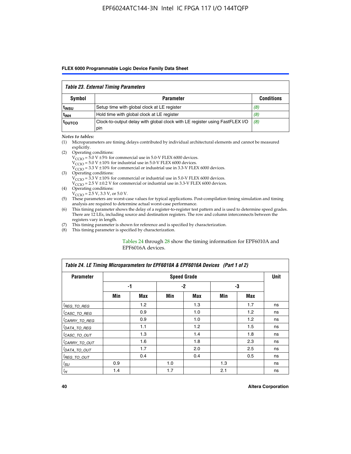#### *Table 23. External Timing Parameters*

|                   | Table Lo. External Thinly I alamotors                                              |                   |
|-------------------|------------------------------------------------------------------------------------|-------------------|
| <b>Symbol</b>     | <b>Parameter</b>                                                                   | <b>Conditions</b> |
| <sup>l</sup> insu | Setup time with global clock at LE register                                        | (8)               |
| ւ <sub>INH</sub>  | Hold time with global clock at LE register                                         | (8)               |
| toutco            | Clock-to-output delay with global clock with LE register using FastFLEX I/O<br>pin | (8)               |

#### *Notes to tables:*

- (1) Microparameters are timing delays contributed by individual architectural elements and cannot be measured explicitly.
- (2) Operating conditions:  $V_{\text{CCIO}} = 5.0 \text{ V} \pm 5\%$  for commercial use in 5.0-V FLEX 6000 devices.  $V_{\text{CCIO}} = 5.0 \text{ V} \pm 10\%$  for industrial use in 5.0-V FLEX 6000 devices.  $V<sub>CCO</sub> = 3.3 V ± 10%$  for commercial or industrial use in 3.3-V FLEX 6000 devices. (3) Operating conditions:
	- $V_{\text{CCIO}} = 3.3 \text{ V} \pm 10\%$  for commercial or industrial use in 5.0-V FLEX 6000 devices.
		- $V_{\text{CCIO}}$  = 2.5 V ± 0.2 V for commercial or industrial use in 3.3-V FLEX 6000 devices.
- (4) Operating conditions:  $V_{\text{CCIO}} = 2.5 \text{ V}$ , 3.3 V, or 5.0 V.
- (5) These parameters are worst-case values for typical applications. Post-compilation timing simulation and timing analysis are required to determine actual worst-case performance.
- (6) This timing parameter shows the delay of a register-to-register test pattern and is used to determine speed grades. There are 12 LEs, including source and destination registers. The row and column interconnects between the registers vary in length.
- (7) This timing parameter is shown for reference and is specified by characterization.
- (8) This timing parameter is specified by characterization.

#### Tables 24 through 28 show the timing information for EPF6010A and EPF6016A devices.

| Table 24. LE Timing Microparameters for EPF6010A & EPF6016A Devices (Part 1 of 2) |     |                    |     |     |     |     |    |  |  |
|-----------------------------------------------------------------------------------|-----|--------------------|-----|-----|-----|-----|----|--|--|
| <b>Parameter</b>                                                                  |     | <b>Speed Grade</b> |     |     |     |     |    |  |  |
|                                                                                   |     | -1                 |     | -2  |     | -3  |    |  |  |
|                                                                                   | Min | Max                | Min | Max | Min | Max |    |  |  |
| <sup>[</sup> REG_TO_REG                                                           |     | 1.2                |     | 1.3 |     | 1.7 | ns |  |  |
| <sup>I</sup> CASC_TO_REG                                                          |     | 0.9                |     | 1.0 |     | 1.2 | ns |  |  |
| <sup>I</sup> CARRY_TO_REG                                                         |     | 0.9                |     | 1.0 |     | 1.2 | ns |  |  |
| <sup>I</sup> DATA_TO_REG                                                          |     | 1.1                |     | 1.2 |     | 1.5 | ns |  |  |
| <sup>I</sup> CASC_TO_OUT                                                          |     | 1.3                |     | 1.4 |     | 1.8 | ns |  |  |
| <sup>I</sup> CARRY_TO_OUT                                                         |     | 1.6                |     | 1.8 |     | 2.3 | ns |  |  |
| <sup>I</sup> DATA_TO_OUT                                                          |     | 1.7                |     | 2.0 |     | 2.5 | ns |  |  |
| <sup>I</sup> REG_TO_OUT                                                           |     | 0.4                |     | 0.4 |     | 0.5 | ns |  |  |
| $t_{SU}$                                                                          | 0.9 |                    | 1.0 |     | 1.3 |     | ns |  |  |
| $t_H$                                                                             | 1.4 |                    | 1.7 |     | 2.1 |     | ns |  |  |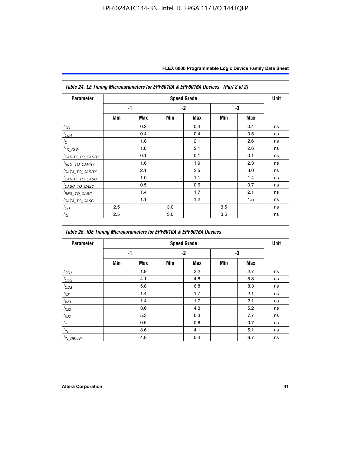| Table 24. LE Timing Microparameters for EPF6010A & EPF6016A Devices (Part 2 of 2) |                    |            |     |            |     |            |    |  |
|-----------------------------------------------------------------------------------|--------------------|------------|-----|------------|-----|------------|----|--|
| <b>Parameter</b>                                                                  | <b>Speed Grade</b> |            |     |            |     |            |    |  |
|                                                                                   |                    | $-1$       |     | $-2$       |     | -3         |    |  |
|                                                                                   | Min                | <b>Max</b> | Min | <b>Max</b> | Min | <b>Max</b> |    |  |
| $t_{CO}$                                                                          |                    | 0.3        |     | 0.4        |     | 0.4        | ns |  |
| <sup>I</sup> CLR                                                                  |                    | 0.4        |     | 0.4        |     | 0.5        | ns |  |
| $t_C$                                                                             |                    | 1.8        |     | 2.1        |     | 2.6        | ns |  |
| ${}^{l}$ LD_CLR                                                                   |                    | 1.8        |     | 2.1        |     | 2.6        | ns |  |
| <sup>I</sup> CARRY_TO_CARRY                                                       |                    | 0.1        |     | 0.1        |     | 0.1        | ns |  |
| <sup>I</sup> REG_TO_CARRY                                                         |                    | 1.6        |     | 1.9        |     | 2.3        | ns |  |
| <sup>I</sup> DATA_TO_CARRY                                                        |                    | 2.1        |     | 2.5        |     | 3.0        | ns |  |
| <sup>I</sup> CARRY_TO_CASC                                                        |                    | 1.0        |     | 1.1        |     | 1.4        | ns |  |
| <sup>I</sup> CASC_TO_CASC                                                         |                    | 0.5        |     | 0.6        |     | 0.7        | ns |  |
| <sup>I</sup> REG_TO_CASC                                                          |                    | 1.4        |     | 1.7        |     | 2.1        | ns |  |
| <sup>I</sup> DATA_TO_CASC                                                         |                    | 1.1        |     | 1.2        |     | 1.5        | ns |  |
| ${}^{l}$ СН                                                                       | 2.5                |            | 3.0 |            | 3.5 |            | ns |  |
| ${}^tC_L$                                                                         | 2.5                |            | 3.0 |            | 3.5 |            | ns |  |

| Table 25. IOE Timing Microparameters for EPF6010A & EPF6016A Devices |     |            |     |                    |     |            |      |  |
|----------------------------------------------------------------------|-----|------------|-----|--------------------|-----|------------|------|--|
| <b>Parameter</b>                                                     |     |            |     | <b>Speed Grade</b> |     |            | Unit |  |
|                                                                      |     | -1         |     | $-2$               | -3  |            |      |  |
|                                                                      | Min | <b>Max</b> | Min | <b>Max</b>         | Min | <b>Max</b> |      |  |
| $t_{OD1}$                                                            |     | 1.9        |     | 2.2                |     | 2.7        | ns   |  |
| $t_{OD2}$                                                            |     | 4.1        |     | 4.8                |     | 5.8        | ns   |  |
| $t_{OD3}$                                                            |     | 5.8        |     | 6.8                |     | 8.3        | ns   |  |
| $t_{XZ}$                                                             |     | 1.4        |     | 1.7                |     | 2.1        | ns   |  |
| $t_{XZ1}$                                                            |     | 1.4        |     | 1.7                |     | 2.1        | ns   |  |
| $t_{\text{XZ}2}$                                                     |     | 3.6        |     | 4.3                |     | 5.2        | ns   |  |
| $t_{\text{XZ3}}$                                                     |     | 5.3        |     | 6.3                |     | 7.7        | ns   |  |
| $t_{IOE}$                                                            |     | 0.5        |     | 0.6                |     | 0.7        | ns   |  |
| $t_{I\!N}$                                                           |     | 3.6        |     | 4.1                |     | 5.1        | ns   |  |
| $t_{IN}$ DELAY                                                       |     | 4.8        |     | 5.4                |     | 6.7        | ns   |  |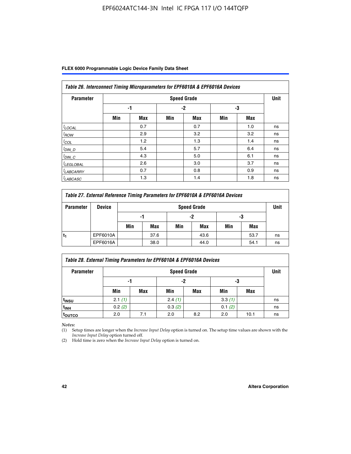| Table 26. Interconnect Timing Microparameters for EPF6010A & EPF6016A Devices |     |            |     |                    |     |     |             |  |  |
|-------------------------------------------------------------------------------|-----|------------|-----|--------------------|-----|-----|-------------|--|--|
| <b>Parameter</b>                                                              |     |            |     | <b>Speed Grade</b> |     |     | <b>Unit</b> |  |  |
|                                                                               |     | -1         |     | $-2$               |     | -3  |             |  |  |
|                                                                               | Min | <b>Max</b> | Min | <b>Max</b>         | Min | Max |             |  |  |
| $t$ LOCAL                                                                     |     | 0.7        |     | 0.7                |     | 1.0 | ns          |  |  |
| $t_{\text{ROW}}$                                                              |     | 2.9        |     | 3.2                |     | 3.2 | ns          |  |  |
| $t_{COL}$                                                                     |     | 1.2        |     | 1.3                |     | 1.4 | ns          |  |  |
| $t_{DIN\_D}$                                                                  |     | 5.4        |     | 5.7                |     | 6.4 | ns          |  |  |
| $t_{DIN\_C}$                                                                  |     | 4.3        |     | 5.0                |     | 6.1 | ns          |  |  |
| <sup>I</sup> LEGLOBAL                                                         |     | 2.6        |     | 3.0                |     | 3.7 | ns          |  |  |
| <sup>I</sup> LABCARRY                                                         |     | 0.7        |     | 0.8                |     | 0.9 | ns          |  |  |
| <sup>I</sup> LABCASC                                                          |     | 1.3        |     | 1.4                |     | 1.8 | ns          |  |  |

| Table 27. External Reference Timing Parameters for EPF6010A & EPF6016A Devices |               |                    |                |     |      |     |      |    |
|--------------------------------------------------------------------------------|---------------|--------------------|----------------|-----|------|-----|------|----|
| <b>Parameter</b>                                                               | <b>Device</b> | <b>Speed Grade</b> |                |     |      |     |      |    |
|                                                                                |               |                    | -2<br>-3<br>-1 |     |      |     |      |    |
|                                                                                |               | Min                | Max            | Min | Max  | Min | Max  |    |
| t,                                                                             | EPF6010A      |                    | 37.6           |     | 43.6 |     | 53.7 | ns |
|                                                                                | EPF6016A      |                    | 38.0           |     | 44.0 |     | 54.1 | ns |

| Table 28. External Timing Parameters for EPF6010A & EPF6016A Devices |        |                    |        |     |        |      |    |  |  |  |
|----------------------------------------------------------------------|--------|--------------------|--------|-----|--------|------|----|--|--|--|
| <b>Parameter</b>                                                     |        | <b>Speed Grade</b> |        |     |        |      |    |  |  |  |
|                                                                      |        | -2<br>-3<br>-1     |        |     |        |      |    |  |  |  |
|                                                                      | Min    | Max                | Min    | Max | Min    | Max  |    |  |  |  |
| t <sub>insu</sub>                                                    | 2.1(1) |                    | 2.4(1) |     | 3.3(1) |      | ns |  |  |  |
| <sup>t</sup> inh                                                     | 0.2(2) |                    | 0.3(2) |     | 0.1(2) |      | ns |  |  |  |
| toutco                                                               | 2.0    | 7.1                | 2.0    | 8.2 | 2.0    | 10.1 | ns |  |  |  |

*Notes:*

(1) Setup times are longer when the *Increase Input Delay* option is turned on. The setup time values are shown with the *Increase Input Delay* option turned off.

(2) Hold time is zero when the *Increase Input Delay* option is turned on.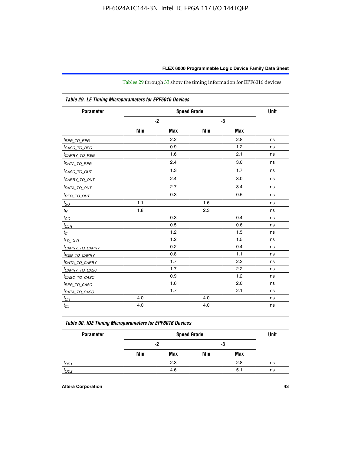| Table 29. LE Timing Microparameters for EPF6016 Devices |      |            |     |            |    |  |  |
|---------------------------------------------------------|------|------------|-----|------------|----|--|--|
| <b>Parameter</b>                                        |      | Unit       |     |            |    |  |  |
|                                                         | $-2$ |            |     | -3         |    |  |  |
|                                                         | Min  | <b>Max</b> | Min | <b>Max</b> |    |  |  |
| <sup>t</sup> REG_TO_REG                                 |      | 2.2        |     | 2.8        | ns |  |  |
| <sup>I</sup> CASC_TO_REG                                |      | 0.9        |     | 1.2        | ns |  |  |
| <sup>t</sup> CARRY_TO_REG                               |      | 1.6        |     | 2.1        | ns |  |  |
| <sup>t</sup> DATA_TO_REG                                |      | 2.4        |     | 3.0        | ns |  |  |
| <sup>t</sup> CASC_TO_OUT                                |      | 1.3        |     | 1.7        | ns |  |  |
| <sup>t</sup> CARRY_TO_OUT                               |      | 2.4        |     | 3.0        | ns |  |  |
| <sup>t</sup> DATA_TO_OUT                                |      | 2.7        |     | 3.4        | ns |  |  |
| <i>t<sub>REG_TO_OUT</sub></i>                           |      | 0.3        |     | 0.5        | ns |  |  |
| $t_{SU}$                                                | 1.1  |            | 1.6 |            | ns |  |  |
| $t_H$                                                   | 1.8  |            | 2.3 |            | ns |  |  |
| $t_{CO}$                                                |      | 0.3        |     | 0.4        | ns |  |  |
| $t_{CLR}$                                               |      | 0.5        |     | 0.6        | ns |  |  |
| $t_C$                                                   |      | 1.2        |     | 1.5        | ns |  |  |
| $t_{LD\_CLR}$                                           |      | 1.2        |     | 1.5        | ns |  |  |
| <sup>t</sup> CA <u>RRY_TO_CARRY</u>                     |      | 0.2        |     | 0.4        | ns |  |  |
| <sup>t</sup> REG_TO_CARRY                               |      | 0.8        |     | 1.1        | ns |  |  |
| <sup>t</sup> DATA_TO_CARRY                              |      | 1.7        |     | 2.2        | ns |  |  |
| <i>tCARRY_TO_CASC</i>                                   |      | 1.7        |     | 2.2        | ns |  |  |
| <sup>t</sup> CASC_TO_CASC                               |      | 0.9        |     | 1.2        | ns |  |  |
| <sup>t</sup> REG_TO_CASC                                |      | 1.6        |     | 2.0        | ns |  |  |
| <sup>t</sup> DATA_TO_CASC                               |      | 1.7        |     | 2.1        | ns |  |  |
| $t_{CH}$                                                | 4.0  |            | 4.0 |            | ns |  |  |
| $t_{CL}$                                                | 4.0  |            | 4.0 |            | ns |  |  |

Tables 29 through 33 show the timing information for EPF6016 devices.

| Table 30. IOE Timing Microparameters for EPF6016 Devices |     |          |     |     |    |  |  |  |
|----------------------------------------------------------|-----|----------|-----|-----|----|--|--|--|
| <b>Speed Grade</b><br><b>Parameter</b>                   |     |          |     |     |    |  |  |  |
|                                                          |     | -3<br>-2 |     |     |    |  |  |  |
|                                                          | Min | Max      | Min | Max |    |  |  |  |
| $t_{OD1}$                                                |     | 2.3      |     | 2.8 | ns |  |  |  |
| $t_{OD2}$                                                |     | 4.6      |     | 5.1 | ns |  |  |  |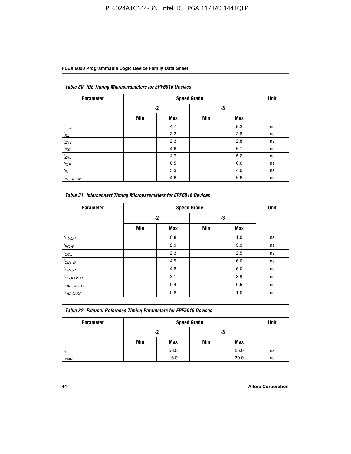| Table 30. IOE Timing Microparameters for EPF6016 Devices |      |            |                    |            |             |  |  |  |  |
|----------------------------------------------------------|------|------------|--------------------|------------|-------------|--|--|--|--|
| <b>Parameter</b>                                         |      |            | <b>Speed Grade</b> |            | <b>Unit</b> |  |  |  |  |
|                                                          | $-2$ |            | -3                 |            |             |  |  |  |  |
|                                                          | Min  | <b>Max</b> | Min                | <b>Max</b> |             |  |  |  |  |
| $t_{OD3}$                                                |      | 4.7        |                    | 5.2        | ns          |  |  |  |  |
| $t_{XZ}$                                                 |      | 2.3        |                    | 2.8        | ns          |  |  |  |  |
| $t_{ZX1}$                                                |      | 2.3        |                    | 2.8        | ns          |  |  |  |  |
| $t_{ZX2}$                                                |      | 4.6        |                    | 5.1        | ns          |  |  |  |  |
| $t_{ZX3}$                                                |      | 4.7        |                    | 5.2        | ns          |  |  |  |  |
| $t_{IOE}$                                                |      | 0.5        |                    | 0.6        | ns          |  |  |  |  |
| $t_{IN}$                                                 |      | 3.3        |                    | 4.0        | ns          |  |  |  |  |
| $t_{IN\_DELAY}$                                          |      | 4.6        |                    | 5.6        | ns          |  |  |  |  |

| <b>Parameter</b>      |      | <b>Speed Grade</b> |     |            | <b>Unit</b> |
|-----------------------|------|--------------------|-----|------------|-------------|
|                       | $-2$ |                    | -3  |            |             |
|                       | Min  | <b>Max</b>         | Min | <b>Max</b> |             |
| $t_{LOCAL}$           |      | 0.8                |     | 1.0        | ns          |
| $t_{\text{ROW}}$      |      | 2.9                |     | 3.3        | ns          |
| $t_{COL}$             |      | 2.3                |     | 2.5        | ns          |
| $t_{DIN\_D}$          |      | 4.9                |     | 6.0        | ns          |
| $t_{DIN\_C}$          |      | 4.8                |     | 6.0        | ns          |
| <sup>t</sup> LEGLOBAL |      | 3.1                |     | 3.9        | ns          |
| <sup>t</sup> LABCARRY |      | 0.4                |     | 0.5        | ns          |
| <sup>t</sup> LABCASC  |      | 0.8                |     | 1.0        | ns          |

| Table 32. External Reference Timing Parameters for EPF6016 Devices |     |          |                    |      |      |  |  |  |
|--------------------------------------------------------------------|-----|----------|--------------------|------|------|--|--|--|
| <b>Parameter</b>                                                   |     |          | <b>Speed Grade</b> |      | Unit |  |  |  |
|                                                                    |     | -2<br>-3 |                    |      |      |  |  |  |
|                                                                    | Min | Max      | Min                | Max  |      |  |  |  |
|                                                                    |     | 53.0     |                    | 65.0 | ns   |  |  |  |
| <sup>T</sup> DRR                                                   |     | 16.0     |                    | 20.0 | ns   |  |  |  |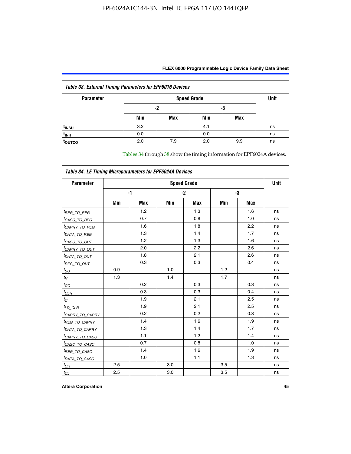| FLEX 6000 Programmable Logic Device Family Data Sheet |  |
|-------------------------------------------------------|--|
|                                                       |  |

| <b>Table 33. External Timing Parameters for EPF6016 Devices</b> |          |     |                    |     |             |  |  |  |
|-----------------------------------------------------------------|----------|-----|--------------------|-----|-------------|--|--|--|
| <b>Parameter</b>                                                |          |     | <b>Speed Grade</b> |     | <b>Unit</b> |  |  |  |
|                                                                 | -3<br>-2 |     |                    |     |             |  |  |  |
|                                                                 | Min      | Max | Min                | Max |             |  |  |  |
| t <sub>INSU</sub>                                               | 3.2      |     | 4.1                |     | ns          |  |  |  |
| $t_{INH}$                                                       | 0.0      |     | 0.0                |     | ns          |  |  |  |
| <b>TOUTCO</b>                                                   | 2.0      | 7.9 | 2.0                | 9.9 | ns          |  |  |  |

Tables 34 through 38 show the timing information for EPF6024A devices.

| Table 34. LE Timing Microparameters for EPF6024A Devices |                    |            |     |            |     |            |    |  |
|----------------------------------------------------------|--------------------|------------|-----|------------|-----|------------|----|--|
| <b>Parameter</b>                                         | <b>Speed Grade</b> |            |     |            |     |            |    |  |
|                                                          | -1                 |            |     | $-2$       |     | -3         |    |  |
|                                                          | Min                | <b>Max</b> | Min | <b>Max</b> | Min | <b>Max</b> |    |  |
| <sup>t</sup> REG_TO_REG                                  |                    | 1.2        |     | 1.3        |     | 1.6        | ns |  |
| <sup>t</sup> CASC_TO_REG                                 |                    | 0.7        |     | 0.8        |     | 1.0        | ns |  |
| <sup>t</sup> CARRY_TO_REG                                |                    | 1.6        |     | 1.8        |     | 2.2        | ns |  |
| <sup>t</sup> DATA_TO_REG                                 |                    | 1.3        |     | 1.4        |     | 1.7        | ns |  |
| <sup>t</sup> CASC_TO_OUT                                 |                    | 1.2        |     | 1.3        |     | 1.6        | ns |  |
| <sup>t</sup> CARRY_TO_OUT                                |                    | 2.0        |     | 2.2        |     | 2.6        | ns |  |
| <sup>t</sup> DATA_TO_OUT                                 |                    | 1.8        |     | 2.1        |     | 2.6        | ns |  |
| <i>t<sub>REG_TO_OUT</sub></i>                            |                    | 0.3        |     | 0.3        |     | 0.4        | ns |  |
| $t_{SU}$                                                 | 0.9                |            | 1.0 |            | 1.2 |            | ns |  |
| $t_H$                                                    | 1.3                |            | 1.4 |            | 1.7 |            | ns |  |
| $t_{CO}$                                                 |                    | 0.2        |     | 0.3        |     | 0.3        | ns |  |
| $t_{CLR}$                                                |                    | 0.3        |     | 0.3        |     | 0.4        | ns |  |
| $t_C$                                                    |                    | 1.9        |     | 2.1        |     | 2.5        | ns |  |
| $t_{LD\_CLR}$                                            |                    | 1.9        |     | 2.1        |     | 2.5        | ns |  |
| <sup>t</sup> CAR <u>RY_TO_CARRY</u>                      |                    | 0.2        |     | 0.2        |     | 0.3        | ns |  |
| <sup>t</sup> REG_TO_CARRY                                |                    | 1.4        |     | 1.6        |     | 1.9        | ns |  |
| <sup>t</sup> DATA_TO_CARRY                               |                    | 1.3        |     | 1.4        |     | 1.7        | ns |  |
| <sup>t</sup> CARRY_TO_CASC                               |                    | 1.1        |     | 1.2        |     | 1.4        | ns |  |
| <sup>t</sup> CASC_TO_CASC                                |                    | 0.7        |     | 0.8        |     | 1.0        | ns |  |
| <sup>t</sup> REG_TO_CASC                                 |                    | 1.4        |     | 1.6        |     | 1.9        | ns |  |
| <sup>t</sup> DATA_TO_CASC                                |                    | 1.0        |     | 1.1        |     | 1.3        | ns |  |
| $t_{CH}$                                                 | 2.5                |            | 3.0 |            | 3.5 |            | ns |  |
| $t_{\text{CL}}$                                          | 2.5                |            | 3.0 |            | 3.5 |            | ns |  |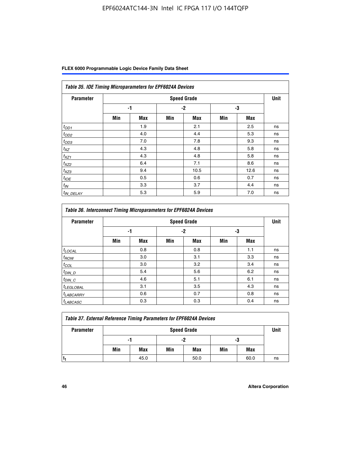|  | FLEX 6000 Programmable Logic Device Family Data Sheet |  |  |
|--|-------------------------------------------------------|--|--|
|--|-------------------------------------------------------|--|--|

| Table 35. IOE Timing Microparameters for EPF6024A Devices |     |            |      |                    |     |            |      |  |  |
|-----------------------------------------------------------|-----|------------|------|--------------------|-----|------------|------|--|--|
| <b>Parameter</b>                                          |     |            |      | <b>Speed Grade</b> |     |            | Unit |  |  |
|                                                           |     | -1         | $-2$ |                    | -3  |            |      |  |  |
|                                                           | Min | <b>Max</b> | Min  | <b>Max</b>         | Min | <b>Max</b> |      |  |  |
| $t_{OD1}$                                                 |     | 1.9        |      | 2.1                |     | 2.5        | ns   |  |  |
| $t_{OD2}$                                                 |     | 4.0        |      | 4.4                |     | 5.3        | ns   |  |  |
| $t_{OD3}$                                                 |     | 7.0        |      | 7.8                |     | 9.3        | ns   |  |  |
| $t_{XZ}$                                                  |     | 4.3        |      | 4.8                |     | 5.8        | ns   |  |  |
| $t_{XZ1}$                                                 |     | 4.3        |      | 4.8                |     | 5.8        | ns   |  |  |
| $t_{XZ2}$                                                 |     | 6.4        |      | 7.1                |     | 8.6        | ns   |  |  |
| $t_{XZ3}$                                                 |     | 9.4        |      | 10.5               |     | 12.6       | ns   |  |  |
| $t_{IOE}$                                                 |     | 0.5        |      | 0.6                |     | 0.7        | ns   |  |  |
| $t_{IN}$                                                  |     | 3.3        |      | 3.7                |     | 4.4        | ns   |  |  |
| <sup>t</sup> IN_DELAY                                     |     | 5.3        |      | 5.9                |     | 7.0        | ns   |  |  |

| <b>Table 36. Interconnect Timing Microparameters for EPF6024A Devices</b> |                    |            |     |            |     |            |    |
|---------------------------------------------------------------------------|--------------------|------------|-----|------------|-----|------------|----|
| <b>Parameter</b>                                                          | <b>Speed Grade</b> |            |     |            |     |            |    |
|                                                                           | -1                 |            | -2  |            | -3  |            |    |
|                                                                           | Min                | <b>Max</b> | Min | <b>Max</b> | Min | <b>Max</b> |    |
| $t_{LOCAL}$                                                               |                    | 0.8        |     | 0.8        |     | 1.1        | ns |
| $t_{ROW}$                                                                 |                    | 3.0        |     | 3.1        |     | 3.3        | ns |
| $t_{COL}$                                                                 |                    | 3.0        |     | 3.2        |     | 3.4        | ns |
| $t_{DIN\_D}$                                                              |                    | 5.4        |     | 5.6        |     | 6.2        | ns |
| $t_{DIN\_C}$                                                              |                    | 4.6        |     | 5.1        |     | 6.1        | ns |
| $t_{LEGLOBAL}$                                                            |                    | 3.1        |     | 3.5        |     | 4.3        | ns |
| $t_{LABCARAY}$                                                            |                    | 0.6        |     | 0.7        |     | 0.8        | ns |
| <sup>t</sup> LABCASC                                                      |                    | 0.3        |     | 0.3        |     | 0.4        | ns |

| <b>Table 37. External Reference Timing Parameters for EPF6024A Devices</b> |                    |      |     |      |     |      |      |
|----------------------------------------------------------------------------|--------------------|------|-----|------|-----|------|------|
| <b>Parameter</b>                                                           | <b>Speed Grade</b> |      |     |      |     |      | Unit |
|                                                                            | -1                 |      | -2  |      | -3  |      |      |
|                                                                            | Min                | Max  | Min | Max  | Min | Max  |      |
|                                                                            |                    | 45.0 |     | 50.0 |     | 60.0 | ns   |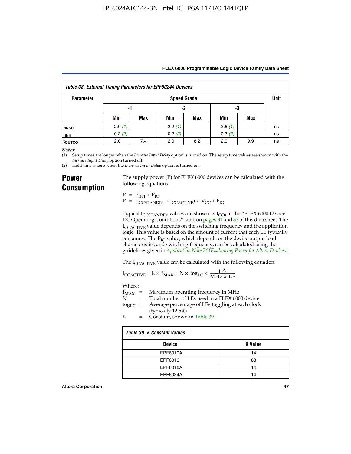| Table 38. External Timing Parameters for EPF6024A Devices |                    |     |        |     |        |     |             |
|-----------------------------------------------------------|--------------------|-----|--------|-----|--------|-----|-------------|
| <b>Parameter</b>                                          | <b>Speed Grade</b> |     |        |     |        |     | <b>Unit</b> |
|                                                           | -1                 |     | -2     |     | -3     |     |             |
|                                                           | Min                | Max | Min    | Max | Min    | Max |             |
| t <sub>INSU</sub>                                         | 2.0(1)             |     | 2.2(1) |     | 2.6(1) |     | ns          |
| t <sub>INH</sub>                                          | 0.2(2)             |     | 0.2(2) |     | 0.3(2) |     | ns          |
| <sup>τ</sup> ουτco                                        | 2.0                | 7.4 | 2.0    | 8.2 | 2.0    | 9.9 | ns          |

*Notes:*

(1) Setup times are longer when the *Increase Input Delay* option is turned on. The setup time values are shown with the *Increase Input Delay* option turned off.

(2) Hold time is zero when the *Increase Input Delay* option is turned on.

## **Power Consumption**

The supply power (P) for FLEX 6000 devices can be calculated with the following equations:

 $P = P_{INT} + P_{IO}$  $P = (I_{CCTANDBY} + I_{CCACTIVE}) \times V_{CC} + P_{IO}$ 

Typical  $I_{CCSTANDBY}$  values are shown as  $I_{CC0}$  in the "FLEX 6000 Device DC Operating Conditions" table on pages 31 and 33 of this data sheet. The I<sub>CCACTIVE</sub> value depends on the switching frequency and the application logic. This value is based on the amount of current that each LE typically consumes. The  $P_{IO}$  value, which depends on the device output load characteristics and switching frequency, can be calculated using the guidelines given in *[Application Note 74 \(Evaluating Power for Altera Devices\)](http://www.altera.com/literature/an/an074.pdf)*.

The I<sub>CCACTIVE</sub> value can be calculated with the following equation:

$$
I_{\text{CCACTIVE}} = K \times f_{\text{MAX}} \times N \times \text{tog}_{\text{LC}} \times \frac{\mu A}{\text{MHz} \times \text{LE}}
$$

Where:

|   | $f_{MAX}$ = Maximum operating frequency in MHz                           |
|---|--------------------------------------------------------------------------|
| N | = Total number of LEs used in a FLEX 6000 device                         |
|   | $\log_{LC}$ = Average percentage of LEs toggling at each clock<br>(1, 1) |

(typically 12.5%) K = Constant, shown in Table 39

| Table 39. K Constant Values |                |  |  |  |
|-----------------------------|----------------|--|--|--|
| <b>Device</b>               | <b>K</b> Value |  |  |  |
| EPF6010A                    | 14             |  |  |  |
| EPF6016                     | 88             |  |  |  |
| EPF6016A                    | 14             |  |  |  |
| EPF6024A                    | 14             |  |  |  |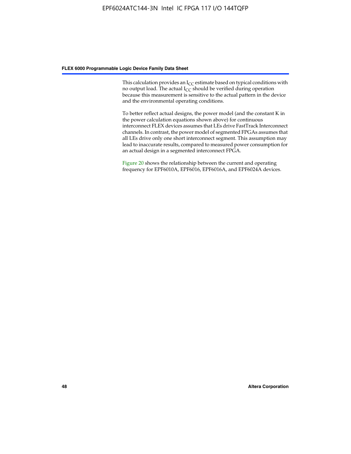This calculation provides an  $I_{CC}$  estimate based on typical conditions with no output load. The actual  $I_{CC}$  should be verified during operation because this measurement is sensitive to the actual pattern in the device and the environmental operating conditions.

To better reflect actual designs, the power model (and the constant K in the power calculation equations shown above) for continuous interconnect FLEX devices assumes that LEs drive FastTrack Interconnect channels. In contrast, the power model of segmented FPGAs assumes that all LEs drive only one short interconnect segment. This assumption may lead to inaccurate results, compared to measured power consumption for an actual design in a segmented interconnect FPGA.

Figure 20 shows the relationship between the current and operating frequency for EPF6010A, EPF6016, EPF6016A, and EPF6024A devices.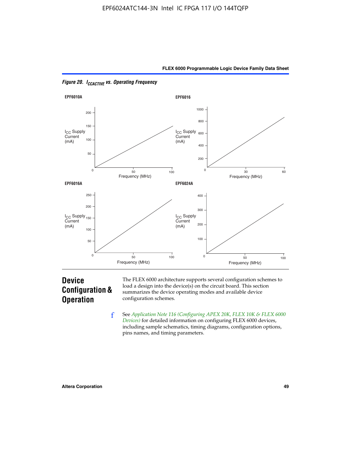



*Figure 20. ICCACTIVE vs. Operating Frequency* 

# **Device Configuration & Operation**

The FLEX 6000 architecture supports several configuration schemes to load a design into the device(s) on the circuit board. This section summarizes the device operating modes and available device configuration schemes.

f See *[Application Note 116 \(Configuring APEX 20K, FLEX 10K & FLEX 6000](http://www.altera.com/literature/an/an116.pdf)  [Devices\)](http://www.altera.com/literature/an/an116.pdf)* for detailed information on configuring FLEX 6000 devices, including sample schematics, timing diagrams, configuration options, pins names, and timing parameters.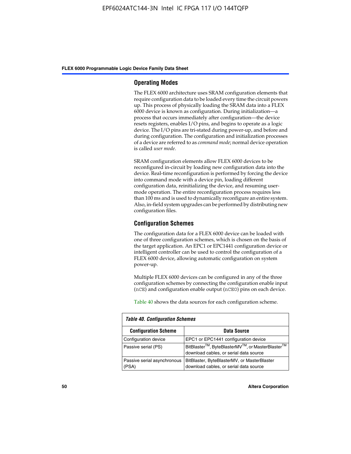#### **Operating Modes**

The FLEX 6000 architecture uses SRAM configuration elements that require configuration data to be loaded every time the circuit powers up. This process of physically loading the SRAM data into a FLEX 6000 device is known as configuration. During initialization—a process that occurs immediately after configuration—the device resets registers, enables I/O pins, and begins to operate as a logic device. The I/O pins are tri-stated during power-up, and before and during configuration. The configuration and initialization processes of a device are referred to as *command mode*; normal device operation is called *user mode*.

SRAM configuration elements allow FLEX 6000 devices to be reconfigured in-circuit by loading new configuration data into the device. Real-time reconfiguration is performed by forcing the device into command mode with a device pin, loading different configuration data, reinitializing the device, and resuming usermode operation. The entire reconfiguration process requires less than 100 ms and is used to dynamically reconfigure an entire system. Also, in-field system upgrades can be performed by distributing new configuration files.

#### **Configuration Schemes**

The configuration data for a FLEX 6000 device can be loaded with one of three configuration schemes, which is chosen on the basis of the target application. An EPC1 or EPC1441 configuration device or intelligent controller can be used to control the configuration of a FLEX 6000 device, allowing automatic configuration on system power-up.

Multiple FLEX 6000 devices can be configured in any of the three configuration schemes by connecting the configuration enable input (nCE) and configuration enable output (nCEO) pins on each device.

Table 40 shows the data sources for each configuration scheme.

| <b>Table 40. Configuration Schemes</b> |                                                                                                                                |  |  |  |
|----------------------------------------|--------------------------------------------------------------------------------------------------------------------------------|--|--|--|
| <b>Configuration Scheme</b>            | Data Source                                                                                                                    |  |  |  |
| Configuration device                   | EPC1 or EPC1441 configuration device                                                                                           |  |  |  |
| Passive serial (PS)                    | BitBlaster <sup>™</sup> , ByteBlasterMV <sup>™</sup> , or MasterBlaster <sup>™</sup><br>download cables, or serial data source |  |  |  |
| Passive serial asynchronous<br>(PSA)   | BitBlaster, ByteBlasterMV, or MasterBlaster<br>download cables, or serial data source                                          |  |  |  |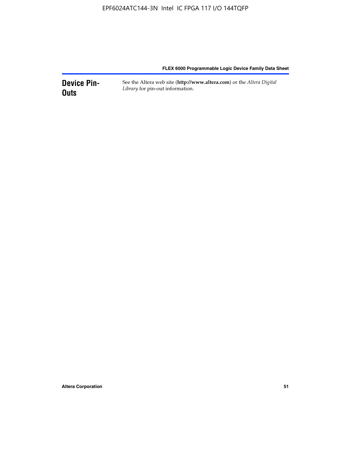**Device Pin-Outs** See the Altera web site (**http://www.altera.com**) or the *Altera Digital Library* for pin-out information.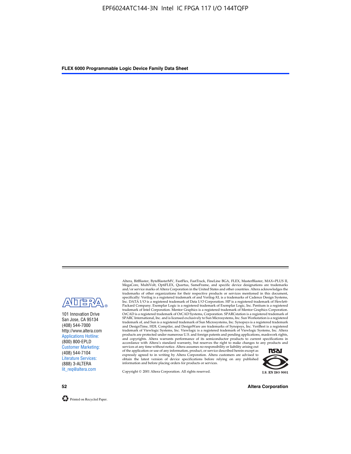

101 Innovation Drive San Jose, CA 95134 (408) 544-7000 http://www.altera.com Applications Hotline: (800) 800-EPLD Customer Marketing: (408) 544-7104 Literature Services: (888) 3-ALTERA lit\_req@altera.com

Altera, BitBlaster, ByteBlasterMV, FastFlex, FastTrack, FineLine BGA, FLEX, MasterBlaster, MAX+PLUS II, MegaCore, MultiVolt, OptiFLEX, Quartus, SameFrame, and specific device designations are trademarks and/or service marks of Altera Corporation in the United States and other countries. Altera acknowledges the trademarks of other organizations for their respective products or services mentioned in this document, specifically: Verilog is a registered trademark of and Verilog-XL is a trademarks of Cadence Design Systems,<br>Inc. DATA I/O is a registered trademark of Data I/O Corporation. HP is a registered trademark of Hewlett-<br>Packard trademark of Intel Corporation. Mentor Graphics is a registered trademark of Mentor Graphics Corporation. OrCAD is a registered trademark of OrCAD Systems, Corporation. SPARCstation is a registered trademark of SPARC International, Inc. and is licensed exclusively to Sun Microsystems, Inc. Sun Workstation is a registered trademark of, and Sun is a registered trademark of Sun Microsystems, Inc. Synopsys is a registered trademark and DesignTime, HDL Compiler, and DesignWare are trademarks of Synopsys, Inc. VeriBest is a registered<br>trademark of Viewlogic Systems, Inc. Viewlogic is a registered trademark of Viewlogic Systems, Inc. Altera<br>products are

of the application or use of any information, product, or service described herein except as<br>expressly agreed to in writing by Altera Corporation. Altera customers are advised to<br>obtain the latest version of device specifi



Copyright © 2001 Altera Corporation. All rights reserved.

**52 Altera Corporation**

Printed on Recycled Paper.